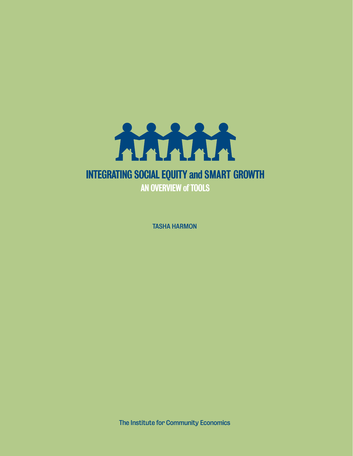

TASHA HARMON

The Institute for Community Economics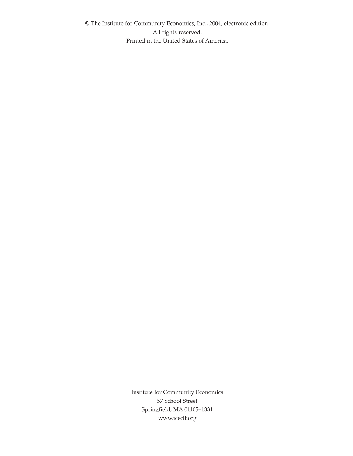© The Institute for Community Economics, Inc., 2004, electronic edition. All rights reserved. Printed in the United States of America.

> Institute for Community Economics 57 School Street Springfield, MA 01105–1331 www.iceclt.org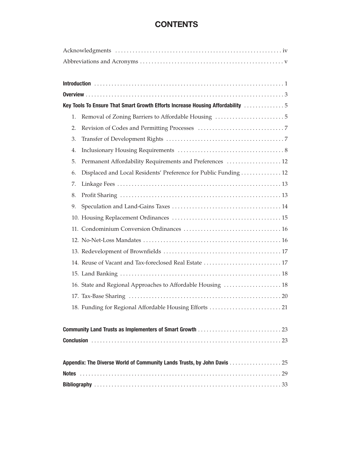# **CONTENTS**

|                                                                         | Key Tools To Ensure That Smart Growth Efforts Increase Housing Affordability 5 |  |
|-------------------------------------------------------------------------|--------------------------------------------------------------------------------|--|
| 1.                                                                      |                                                                                |  |
| 2.                                                                      |                                                                                |  |
| 3.                                                                      |                                                                                |  |
| 4.                                                                      |                                                                                |  |
| 5.                                                                      | Permanent Affordability Requirements and Preferences  12                       |  |
| 6.                                                                      | Displaced and Local Residents' Preference for Public Funding  12               |  |
| 7.                                                                      |                                                                                |  |
| 8.                                                                      |                                                                                |  |
| 9.                                                                      |                                                                                |  |
|                                                                         |                                                                                |  |
|                                                                         |                                                                                |  |
|                                                                         |                                                                                |  |
|                                                                         |                                                                                |  |
|                                                                         | 14. Reuse of Vacant and Tax-foreclosed Real Estate  17                         |  |
|                                                                         |                                                                                |  |
|                                                                         | 16. State and Regional Approaches to Affordable Housing  18                    |  |
|                                                                         |                                                                                |  |
|                                                                         | 18. Funding for Regional Affordable Housing Efforts  21                        |  |
|                                                                         |                                                                                |  |
|                                                                         |                                                                                |  |
|                                                                         |                                                                                |  |
|                                                                         |                                                                                |  |
| Appendix: The Diverse World of Community Lands Trusts, by John Davis 25 |                                                                                |  |
|                                                                         |                                                                                |  |
|                                                                         |                                                                                |  |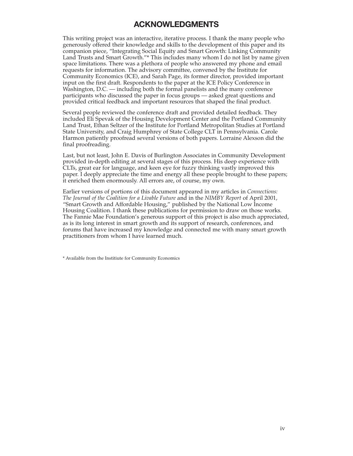# **ACKNOWLEDGMENTS**

This writing project was an interactive, iterative process. I thank the many people who generously offered their knowledge and skills to the development of this paper and its companion piece, "Integrating Social Equity and Smart Growth: Linking Community Land Trusts and Smart Growth."\* This includes many whom I do not list by name given space limitations. There was a plethora of people who answered my phone and email requests for information. The advisory committee, convened by the Institute for Community Economics (ICE), and Sarah Page, its former director, provided important input on the first draft. Respondents to the paper at the ICE Policy Conference in Washington, D.C. — including both the formal panelists and the many conference participants who discussed the paper in focus groups — asked great questions and provided critical feedback and important resources that shaped the final product.

Several people reviewed the conference draft and provided detailed feedback. They included Eli Spevak of the Housing Development Center and the Portland Community Land Trust, Ethan Seltzer of the Institute for Portland Metropolitan Studies at Portland State University, and Craig Humphrey of State College CLT in Pennsylvania. Carole Harmon patiently proofread several versions of both papers. Lorraine Alexson did the final proofreading.

Last, but not least, John E. Davis of Burlington Associates in Community Development provided in-depth editing at several stages of this process. His deep experience with CLTs, great ear for language, and keen eye for fuzzy thinking vastly improved this paper. I deeply appreciate the time and energy all these people brought to these papers; it enriched them enormously. All errors are, of course, my own.

Earlier versions of portions of this document appeared in my articles in *Connections: The Journal of the Coalition for a Livable Future* and in the *NIMBY Report* of April 2001, "Smart Growth and Affordable Housing," published by the National Low Income Housing Coalition. I thank these publications for permission to draw on those works. The Fannie Mae Foundation's generous support of this project is also much appreciated, as is its long interest in smart growth and its support of research, conferences, and forums that have increased my knowledge and connected me with many smart growth practitioners from whom I have learned much.

\* Available from the Institiute for Community Economics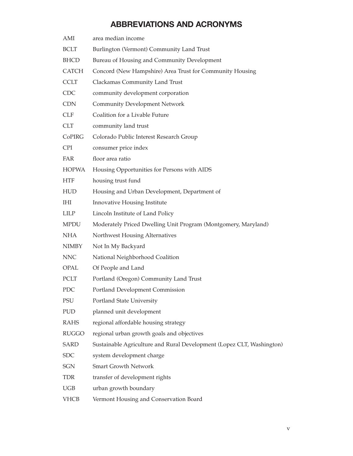# **ABBREVIATIONS AND ACRONYMS**

| AMI          | area median income                                                    |
|--------------|-----------------------------------------------------------------------|
| <b>BCLT</b>  | Burlington (Vermont) Community Land Trust                             |
| <b>BHCD</b>  | Bureau of Housing and Community Development                           |
| <b>CATCH</b> | Concord (New Hampshire) Area Trust for Community Housing              |
| <b>CCLT</b>  | Clackamas Community Land Trust                                        |
| <b>CDC</b>   | community development corporation                                     |
| <b>CDN</b>   | <b>Community Development Network</b>                                  |
| <b>CLF</b>   | Coalition for a Livable Future                                        |
| <b>CLT</b>   | community land trust                                                  |
| CoPIRG       | Colorado Public Interest Research Group                               |
| <b>CPI</b>   | consumer price index                                                  |
| <b>FAR</b>   | floor area ratio                                                      |
| <b>HOPWA</b> | Housing Opportunities for Persons with AIDS                           |
| <b>HTF</b>   | housing trust fund                                                    |
| <b>HUD</b>   | Housing and Urban Development, Department of                          |
| IHI          | Innovative Housing Institute                                          |
| <b>LILP</b>  | Lincoln Institute of Land Policy                                      |
| <b>MPDU</b>  | Moderately Priced Dwelling Unit Program (Montgomery, Maryland)        |
| <b>NHA</b>   | Northwest Housing Alternatives                                        |
| <b>NIMBY</b> | Not In My Backyard                                                    |
| <b>NNC</b>   | National Neighborhood Coalition                                       |
| OPAL         | Of People and Land                                                    |
| <b>PCLT</b>  | Portland (Oregon) Community Land Trust                                |
| PDC          | Portland Development Commission                                       |
| PSU          | Portland State University                                             |
| PUD          | planned unit development                                              |
| <b>RAHS</b>  | regional affordable housing strategy                                  |
| <b>RUGGO</b> | regional urban growth goals and objectives                            |
| <b>SARD</b>  | Sustainable Agriculture and Rural Development (Lopez CLT, Washington) |
| <b>SDC</b>   | system development charge                                             |
| SGN          | <b>Smart Growth Network</b>                                           |
| <b>TDR</b>   | transfer of development rights                                        |
| <b>UGB</b>   | urban growth boundary                                                 |
| <b>VHCB</b>  | Vermont Housing and Conservation Board                                |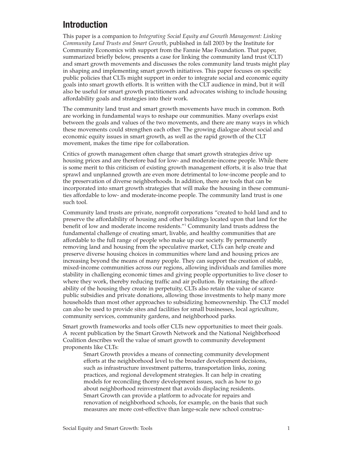## **Introduction**

This paper is a companion to *Integrating Social Equity and Growth Management: Linking Community Land Trusts and Smart Growth*, published in fall 2003 by the Institute for Community Economics with support from the Fannie Mae Foundation. That paper, summarized briefly below, presents a case for linking the community land trust (CLT) and smart growth movements and discusses the roles community land trusts might play in shaping and implementing smart growth initiatives. This paper focuses on specific public policies that CLTs might support in order to integrate social and economic equity goals into smart growth efforts. It is written with the CLT audience in mind, but it will also be useful for smart growth practitioners and advocates wishing to include housing affordability goals and strategies into their work.

The community land trust and smart growth movements have much in common. Both are working in fundamental ways to reshape our communities. Many overlaps exist between the goals and values of the two movements, and there are many ways in which these movements could strengthen each other. The growing dialogue about social and economic equity issues in smart growth, as well as the rapid growth of the CLT movement, makes the time ripe for collaboration.

Critics of growth management often charge that smart growth strategies drive up housing prices and are therefore bad for low- and moderate-income people. While there is some merit to this criticism of existing growth management efforts, it is also true that sprawl and unplanned growth are even more detrimental to low-income people and to the preservation of diverse neighborhoods. In addition, there are tools that can be incorporated into smart growth strategies that will make the housing in these communities affordable to low- and moderate-income people. The community land trust is one such tool.

Community land trusts are private, nonprofit corporations "created to hold land and to preserve the affordability of housing and other buildings located upon that land for the benefit of low and moderate income residents."1 Community land trusts address the fundamental challenge of creating smart, livable, and healthy communities that are affordable to the full range of people who make up our society. By permanently removing land and housing from the speculative market, CLTs can help create and preserve diverse housing choices in communities where land and housing prices are increasing beyond the means of many people. They can support the creation of stable, mixed-income communities across our regions, allowing individuals and families more stability in challenging economic times and giving people opportunities to live closer to where they work, thereby reducing traffic and air pollution. By retaining the affordability of the housing they create in perpetuity, CLTs also retain the value of scarce public subsidies and private donations, allowing those investments to help many more households than most other approaches to subsidizing homeownership. The CLT model can also be used to provide sites and facilities for small businesses, local agriculture, community services, community gardens, and neighborhood parks.

Smart growth frameworks and tools offer CLTs new opportunities to meet their goals. A recent publication by the Smart Growth Network and the National Neighborhood Coalition describes well the value of smart growth to community development proponents like CLTs:

Smart Growth provides a means of connecting community development efforts at the neighborhood level to the broader development decisions, such as infrastructure investment patterns, transportation links, zoning practices, and regional development strategies. It can help in creating models for reconciling thorny development issues, such as how to go about neighborhood reinvestment that avoids displacing residents. Smart Growth can provide a platform to advocate for repairs and renovation of neighborhood schools, for example, on the basis that such measures are more cost-effective than large-scale new school construc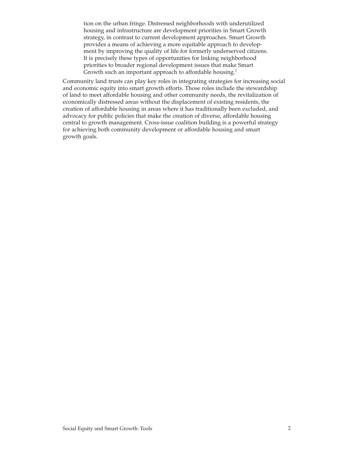tion on the urban fringe. Distressed neighborhoods with underutilized housing and infrastructure are development priorities in Smart Growth strategy, in contrast to current development approaches. Smart Growth provides a means of achieving a more equitable approach to development by improving the quality of life for formerly underserved citizens. It is precisely these types of opportunities for linking neighborhood priorities to broader regional development issues that make Smart Growth such an important approach to affordable housing.<sup>2</sup>

Community land trusts can play key roles in integrating strategies for increasing social and economic equity into smart growth efforts. Those roles include the stewardship of land to meet affordable housing and other community needs, the revitalization of economically distressed areas without the displacement of existing residents, the creation of affordable housing in areas where it has traditionally been excluded, and advocacy for public policies that make the creation of diverse, affordable housing central to growth management. Cross-issue coalition building is a powerful strategy for achieving both community development or affordable housing and smart growth goals.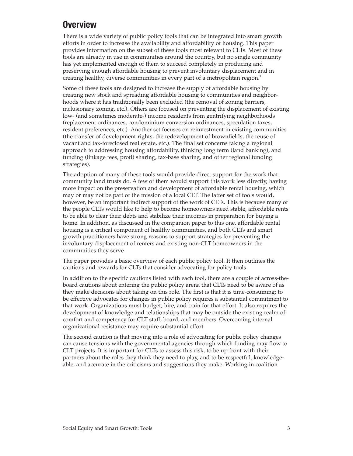# **Overview**

There is a wide variety of public policy tools that can be integrated into smart growth efforts in order to increase the availability and affordability of housing. This paper provides information on the subset of these tools most relevant to CLTs. Most of these tools are already in use in communities around the country, but no single community has yet implemented enough of them to succeed completely in producing and preserving enough affordable housing to prevent involuntary displacement and in creating healthy, diverse communities in every part of a metropolitan region.<sup>3</sup>

Some of these tools are designed to increase the supply of affordable housing by creating new stock and spreading affordable housing to communities and neighborhoods where it has traditionally been excluded (the removal of zoning barriers, inclusionary zoning, etc.). Others are focused on preventing the displacement of existing low- (and sometimes moderate-) income residents from gentrifying neighborhoods (replacement ordinances, condominium conversion ordinances, speculation taxes, resident preferences, etc.). Another set focuses on reinvestment in existing communities (the transfer of development rights, the redevelopment of brownfields, the reuse of vacant and tax-foreclosed real estate, etc.). The final set concerns taking a regional approach to addressing housing affordability, thinking long term (land banking), and funding (linkage fees, profit sharing, tax-base sharing, and other regional funding strategies).

The adoption of many of these tools would provide direct support for the work that community land trusts do. A few of them would support this work less directly, having more impact on the preservation and development of affordable rental housing, which may or may not be part of the mission of a local CLT. The latter set of tools would, however, be an important indirect support of the work of CLTs. This is because many of the people CLTs would like to help to become homeowners need stable, affordable rents to be able to clear their debts and stabilize their incomes in preparation for buying a home. In addition, as discussed in the companion paper to this one, affordable rental housing is a critical component of healthy communities, and both CLTs and smart growth practitioners have strong reasons to support strategies for preventing the involuntary displacement of renters and existing non-CLT homeowners in the communities they serve.

The paper provides a basic overview of each public policy tool. It then outlines the cautions and rewards for CLTs that consider advocating for policy tools.

In addition to the specific cautions listed with each tool, there are a couple of across-theboard cautions about entering the public policy arena that CLTs need to be aware of as they make decisions about taking on this role. The first is that it is time-consuming; to be effective advocates for changes in public policy requires a substantial commitment to that work. Organizations must budget, hire, and train for that effort. It also requires the development of knowledge and relationships that may be outside the existing realm of comfort and competency for CLT staff, board, and members. Overcoming internal organizational resistance may require substantial effort.

The second caution is that moving into a role of advocating for public policy changes can cause tensions with the governmental agencies through which funding may flow to CLT projects. It is important for CLTs to assess this risk, to be up front with their partners about the roles they think they need to play, and to be respectful, knowledgeable, and accurate in the criticisms and suggestions they make. Working in coalition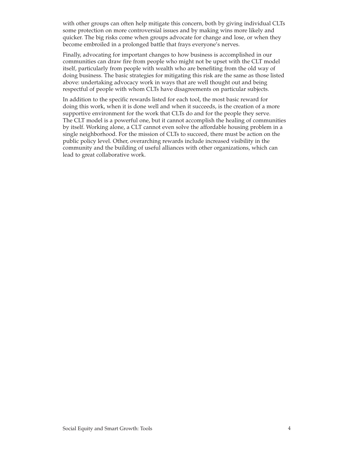with other groups can often help mitigate this concern, both by giving individual CLTs some protection on more controversial issues and by making wins more likely and quicker. The big risks come when groups advocate for change and lose, or when they become embroiled in a prolonged battle that frays everyone's nerves.

Finally, advocating for important changes to how business is accomplished in our communities can draw fire from people who might not be upset with the CLT model itself, particularly from people with wealth who are benefiting from the old way of doing business. The basic strategies for mitigating this risk are the same as those listed above: undertaking advocacy work in ways that are well thought out and being respectful of people with whom CLTs have disagreements on particular subjects.

In addition to the specific rewards listed for each tool, the most basic reward for doing this work, when it is done well and when it succeeds, is the creation of a more supportive environment for the work that CLTs do and for the people they serve. The CLT model is a powerful one, but it cannot accomplish the healing of communities by itself. Working alone, a CLT cannot even solve the affordable housing problem in a single neighborhood. For the mission of CLTs to succeed, there must be action on the public policy level. Other, overarching rewards include increased visibility in the community and the building of useful alliances with other organizations, which can lead to great collaborative work.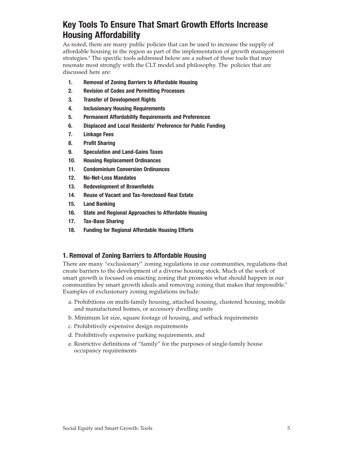# **Key Tools To Ensure That Smart Growth Efforts Increase Housing Affordability**

As noted, there are many public policies that can be used to increase the supply of affordable housing in the region as part of the implementation of growth management strategies.<sup>4</sup> The specific tools addressed below are a subset of those tools that may resonate most strongly with the CLT model and philosophy. The policies that are discussed here are:

- **1. Removal of Zoning Barriers to Affordable Housing**
- **2. Revision of Codes and Permitting Processes**
- **3. Transfer of Development Rights**
- **4. Inclusionary Housing Requirements**
- **5. Permanent Affordability Requirements and Preferences**
- **6. Displaced and Local Residents' Preference for Public Funding**
- **7. Linkage Fees**
- **8. Profit Sharing**
- **9. Speculation and Land-Gains Taxes**
- **10. Housing Replacement Ordinances**
- **11. Condominium Conversion Ordinances**
- **12. No-Net-Loss Mandates**
- **13. Redevelopment of Brownfields**
- **14. Reuse of Vacant and Tax-foreclosed Real Estate**
- **15. Land Banking**
- **16. State and Regional Approaches to Affordable Housing**
- **17. Tax-Base Sharing**
- **18. Funding for Regional Affordable Housing Efforts**

## **1. Removal of Zoning Barriers to Affordable Housing**

There are many "exclusionary" zoning regulations in our communities, regulations that create barriers to the development of a diverse housing stock. Much of the work of smart growth is focused on enacting zoning that promotes what should happen in our communities by smart growth ideals and removing zoning that makes that impossible.<sup>5</sup> Examples of exclusionary zoning regulations include:

- a. Prohibitions on multi-family housing, attached housing, clustered housing, mobile and manufactured homes, or accessory dwelling units
- b. Minimum lot size, square footage of housing, and setback requirements
- c. Prohibitively expensive design requirements
- d. Prohibitively expensive parking requirements, and
- e. Restrictive definitions of "family" for the purposes of single-family house occupancy requirements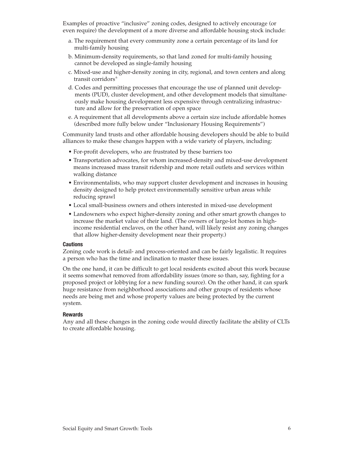Examples of proactive "inclusive" zoning codes, designed to actively encourage (or even require) the development of a more diverse and affordable housing stock include:

- a. The requirement that every community zone a certain percentage of its land for multi-family housing
- b. Minimum-density requirements, so that land zoned for multi-family housing cannot be developed as single-family housing
- c. Mixed-use and higher-density zoning in city, regional, and town centers and along transit corridors<sup>6</sup>
- d. Codes and permitting processes that encourage the use of planned unit developments (PUD), cluster development, and other development models that simultaneously make housing development less expensive through centralizing infrastructure and allow for the preservation of open space
- e. A requirement that all developments above a certain size include affordable homes (described more fully below under "Inclusionary Housing Requirements")

Community land trusts and other affordable housing developers should be able to build alliances to make these changes happen with a wide variety of players, including:

- For-profit developers, who are frustrated by these barriers too
- Transportation advocates, for whom increased-density and mixed-use development means increased mass transit ridership and more retail outlets and services within walking distance
- Environmentalists, who may support cluster development and increases in housing density designed to help protect environmentally sensitive urban areas while reducing sprawl
- Local small-business owners and others interested in mixed-use development
- Landowners who expect higher-density zoning and other smart growth changes to increase the market value of their land. (The owners of large-lot homes in highincome residential enclaves, on the other hand, will likely resist any zoning changes that allow higher-density development near their property.)

#### **Cautions**

Zoning code work is detail- and process-oriented and can be fairly legalistic. It requires a person who has the time and inclination to master these issues.

On the one hand, it can be difficult to get local residents excited about this work because it seems somewhat removed from affordability issues (more so than, say, fighting for a proposed project or lobbying for a new funding source). On the other hand, it can spark huge resistance from neighborhood associations and other groups of residents whose needs are being met and whose property values are being protected by the current system.

### **Rewards**

Any and all these changes in the zoning code would directly facilitate the ability of CLTs to create affordable housing.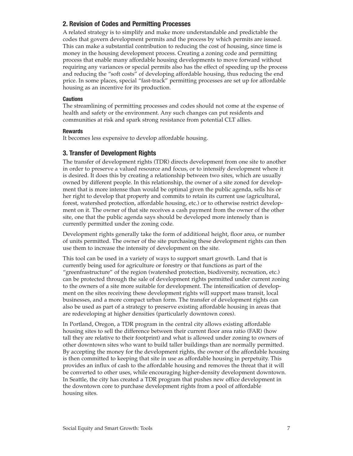## **2. Revision of Codes and Permitting Processes**

A related strategy is to simplify and make more understandable and predictable the codes that govern development permits and the process by which permits are issued. This can make a substantial contribution to reducing the cost of housing, since time is money in the housing development process. Creating a zoning code and permitting process that enable many affordable housing developments to move forward without requiring any variances or special permits also has the effect of speeding up the process and reducing the "soft costs" of developing affordable housing, thus reducing the end price. In some places, special "fast-track" permitting processes are set up for affordable housing as an incentive for its production.

#### **Cautions**

The streamlining of permitting processes and codes should not come at the expense of health and safety or the environment. Any such changes can put residents and communities at risk and spark strong resistance from potential CLT allies.

#### **Rewards**

It becomes less expensive to develop affordable housing.

## **3. Transfer of Development Rights**

The transfer of development rights (TDR) directs development from one site to another in order to preserve a valued resource and focus, or to intensify development where it is desired. It does this by creating a relationship between two sites, which are usually owned by different people. In this relationship, the owner of a site zoned for development that is more intense than would be optimal given the public agenda, sells his or her right to develop that property and commits to retain its current use (agricultural, forest, watershed protection, affordable housing, etc.) or to otherwise restrict development on it. The owner of that site receives a cash payment from the owner of the other site, one that the public agenda says should be developed more intensely than is currently permitted under the zoning code.

Development rights generally take the form of additional height, floor area, or number of units permitted. The owner of the site purchasing these development rights can then use them to increase the intensity of development on the site.

This tool can be used in a variety of ways to support smart growth. Land that is currently being used for agriculture or forestry or that functions as part of the "greenfrastructure" of the region (watershed protection, biodiversity, recreation, etc.) can be protected through the sale of development rights permitted under current zoning to the owners of a site more suitable for development. The intensification of development on the sites receiving these development rights will support mass transit, local businesses, and a more compact urban form. The transfer of development rights can also be used as part of a strategy to preserve existing affordable housing in areas that are redeveloping at higher densities (particularly downtown cores).

In Portland, Oregon, a TDR program in the central city allows existing affordable housing sites to sell the difference between their current floor area ratio (FAR) (how tall they are relative to their footprint) and what is allowed under zoning to owners of other downtown sites who want to build taller buildings than are normally permitted. By accepting the money for the development rights, the owner of the affordable housing is then committed to keeping that site in use as affordable housing in perpetuity. This provides an influx of cash to the affordable housing and removes the threat that it will be converted to other uses, while encouraging higher-density development downtown. In Seattle, the city has created a TDR program that pushes new office development in the downtown core to purchase development rights from a pool of affordable housing sites.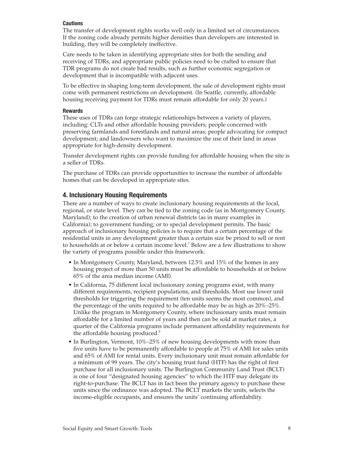#### **Cautions**

The transfer of development rights works well only in a limited set of circumstances. If the zoning code already permits higher densities than developers are interested in building, they will be completely ineffective.

Care needs to be taken in identifying appropriate sites for both the sending and receiving of TDRs, and appropriate public policies need to be crafted to ensure that TDR programs do not create bad results, such as further economic segregation or development that is incompatible with adjacent uses.

To be effective in shaping long-term development, the sale of development rights must come with permanent restrictions on development. (In Seattle, currently, affordable housing receiving payment for TDRs must remain affordable for only 20 years.)

#### **Rewards**

These uses of TDRs can forge strategic relationships between a variety of players, including: CLTs and other affordable housing providers; people concerned with preserving farmlands and forestlands and natural areas; people advocating for compact development; and landowners who want to maximize the use of their land in areas appropriate for high-density development.

Transfer development rights can provide funding for affordable housing when the site is a seller of TDRs.

The purchase of TDRs can provide opportunities to increase the number of affordable homes that can be developed in appropriate sites.

## **4. Inclusionary Housing Requirements**

There are a number of ways to create inclusionary housing requirements at the local, regional, or state level. They can be tied to the zoning code (as in Montgomery County, Maryland); to the creation of urban renewal districts (as in many examples in California); to government funding; or to special development permits. The basic approach of inclusionary housing policies is to require that a certain percentage of the residential units in any development greater than a certain size be priced to sell or rent to households at or below a certain income level.7 Below are a few illustrations to show the variety of programs possible under this framework:

- In Montgomery County, Maryland, between 12.5% and 15% of the homes in any housing project of more than 50 units must be affordable to households at or below 65% of the area median income (AMI).
- In California, 75 different local inclusionary zoning programs exist, with many different requirements, recipient populations, and thresholds. Most use lower unit thresholds for triggering the requirement (ten units seems the most common), and the percentage of the units required to be affordable may be as high as 20%–25%. Unlike the program in Montgomery County, where inclusionary units must remain affordable for a limited number of years and then can be sold at market rates, a quarter of the California programs include permanent affordability requirements for the affordable housing produced.<sup>8</sup>
- In Burlington, Vermont, 10%–25% of new housing developments with more than five units have to be permanently affordable to people at 75% of AMI for sales units and 65% of AMI for rental units. Every inclusionary unit must remain affordable for a minimum of 99 years. The city's housing trust fund (HTF) has the right of first purchase for all inclusionary units. The Burlington Community Land Trust (BCLT) is one of four "designated housing agencies" to which the HTF may delegate its right-to-purchase. The BCLT has in fact been the primary agency to purchase these units since the ordinance was adopted. The BCLT markets the units, selects the income-eligible occupants, and ensures the units' continuing affordability.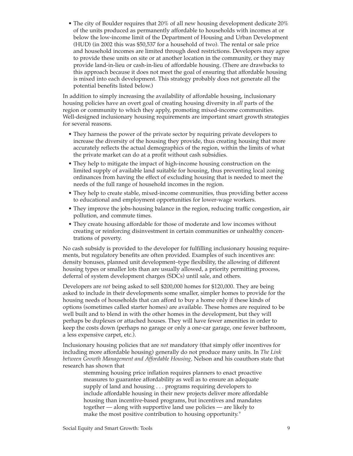• The city of Boulder requires that 20% of all new housing development dedicate 20% of the units produced as permanently affordable to households with incomes at or below the low-income limit of the Department of Housing and Urban Development (HUD) (in 2002 this was \$50,537 for a household of two). The rental or sale price and household incomes are limited through deed restrictions. Developers may agree to provide these units on site or at another location in the community, or they may provide land-in-lieu or cash-in-lieu of affordable housing. (There are drawbacks to this approach because it does not meet the goal of ensuring that affordable housing is mixed into each development. This strategy probably does not generate all the potential benefits listed below.)

In addition to simply increasing the availability of affordable housing, inclusionary housing policies have an overt goal of creating housing diversity in *all* parts of the region or community to which they apply, promoting mixed-income communities. Well-designed inclusionary housing requirements are important smart growth strategies for several reasons.

- They harness the power of the private sector by requiring private developers to increase the diversity of the housing they provide, thus creating housing that more accurately reflects the actual demographics of the region, within the limits of what the private market can do at a profit without cash subsidies.
- They help to mitigate the impact of high-income housing construction on the limited supply of available land suitable for housing, thus preventing local zoning ordinances from having the effect of excluding housing that is needed to meet the needs of the full range of household incomes in the region.
- They help to create stable, mixed-income communities, thus providing better access to educational and employment opportunities for lower-wage workers.
- They improve the jobs-housing balance in the region, reducing traffic congestion, air pollution, and commute times.
- They create housing affordable for those of moderate and low incomes without creating or reinforcing disinvestment in certain communities or unhealthy concentrations of poverty.

No cash subsidy is provided to the developer for fulfilling inclusionary housing requirements, but regulatory benefits are often provided. Examples of such incentives are: density bonuses, planned unit development–type flexibility, the allowing of different housing types or smaller lots than are usually allowed, a priority permitting process, deferral of system development charges (SDCs) until sale, and others.

Developers are *not* being asked to sell \$200,000 homes for \$120,000. They are being asked to include in their developments some smaller, simpler homes to provide for the housing needs of households that can afford to buy a home only if these kinds of options (sometimes called starter homes) are available. These homes are required to be well built and to blend in with the other homes in the development, but they will perhaps be duplexes or attached houses. They will have fewer amenities in order to keep the costs down (perhaps no garage or only a one-car garage, one fewer bathroom, a less expensive carpet, etc.).

Inclusionary housing policies that are *not* mandatory (that simply offer incentives for including more affordable housing) generally do not produce many units. In *The Link between Growth Management and Affordable Housing,* Nelson and his coauthors state that research has shown that

stemming housing price inflation requires planners to enact proactive measures to guarantee affordability as well as to ensure an adequate supply of land and housing . . . programs requiring developers to include affordable housing in their new projects deliver more affordable housing than incentive-based programs, but incentives and mandates together — along with supportive land use policies — are likely to make the most positive contribution to housing opportunity.<sup>9</sup>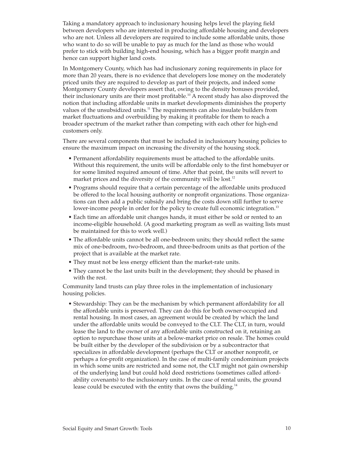Taking a mandatory approach to inclusionary housing helps level the playing field between developers who are interested in producing affordable housing and developers who are not. Unless all developers are required to include some affordable units, those who want to do so will be unable to pay as much for the land as those who would prefer to stick with building high-end housing, which has a bigger profit margin and hence can support higher land costs.

In Montgomery County, which has had inclusionary zoning requirements in place for more than 20 years, there is no evidence that developers lose money on the moderately priced units they are required to develop as part of their projects, and indeed some Montgomery County developers assert that, owing to the density bonuses provided, their inclusionary units are their most profitable.10 A recent study has also disproved the notion that including affordable units in market developments diminishes the property values of the unsubsidized units.11 The requirements can also insulate builders from market fluctuations and overbuilding by making it profitable for them to reach a broader spectrum of the market rather than competing with each other for high-end customers only.

There are several components that must be included in inclusionary housing policies to ensure the maximum impact on increasing the diversity of the housing stock.

- Permanent affordability requirements must be attached to the affordable units. Without this requirement, the units will be affordable only to the first homebuyer or for some limited required amount of time. After that point, the units will revert to market prices and the diversity of the community will be lost.<sup>12</sup>
- Programs should require that a certain percentage of the affordable units produced be offered to the local housing authority or nonprofit organizations. Those organizations can then add a public subsidy and bring the costs down still further to serve lower-income people in order for the policy to create full economic integration.<sup>13</sup>
- Each time an affordable unit changes hands, it must either be sold or rented to an income-eligible household. (A good marketing program as well as waiting lists must be maintained for this to work well.)
- The affordable units cannot be all one-bedroom units; they should reflect the same mix of one-bedroom, two-bedroom, and three-bedroom units as that portion of the project that is available at the market rate.
- They must not be less energy efficient than the market-rate units.
- They cannot be the last units built in the development; they should be phased in with the rest.

Community land trusts can play three roles in the implementation of inclusionary housing policies.

• Stewardship: They can be the mechanism by which permanent affordability for all the affordable units is preserved. They can do this for both owner-occupied and rental housing. In most cases, an agreement would be created by which the land under the affordable units would be conveyed to the CLT. The CLT, in turn, would lease the land to the owner of any affordable units constructed on it, retaining an option to repurchase those units at a below-market price on resale. The homes could be built either by the developer of the subdivision or by a subcontractor that specializes in affordable development (perhaps the CLT or another nonprofit, or perhaps a for-profit organization). In the case of multi-family condominium projects in which some units are restricted and some not, the CLT might not gain ownership of the underlying land but could hold deed restrictions (sometimes called affordability covenants) to the inclusionary units. In the case of rental units, the ground lease could be executed with the entity that owns the building.<sup>14</sup>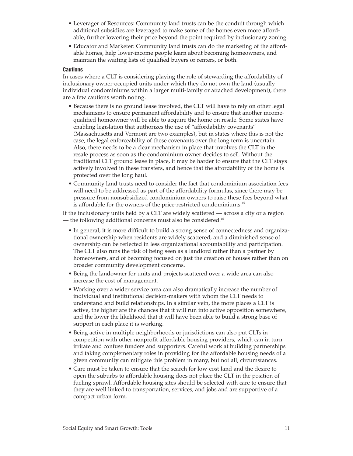- Leverager of Resources: Community land trusts can be the conduit through which additional subsidies are leveraged to make some of the homes even more affordable, further lowering their price beyond the point required by inclusionary zoning.
- Educator and Marketer: Community land trusts can do the marketing of the affordable homes, help lower-income people learn about becoming homeowners, and maintain the waiting lists of qualified buyers or renters, or both.

#### **Cautions**

In cases where a CLT is considering playing the role of stewarding the affordability of inclusionary owner-occupied units under which they do not own the land (usually individual condominiums within a larger multi-family or attached development), there are a few cautions worth noting.

- Because there is no ground lease involved, the CLT will have to rely on other legal mechanisms to ensure permanent affordability and to ensure that another incomequalified homeowner will be able to acquire the home on resale. Some states have enabling legislation that authorizes the use of "affordability covenants" (Massachusetts and Vermont are two examples), but in states where this is not the case, the legal enforceability of these covenants over the long term is uncertain. Also, there needs to be a clear mechanism in place that involves the CLT in the resale process as soon as the condominium owner decides to sell. Without the traditional CLT ground lease in place, it may be harder to ensure that the CLT stays actively involved in these transfers, and hence that the affordability of the home is protected over the long haul.
- Community land trusts need to consider the fact that condominium association fees will need to be addressed as part of the affordability formulas, since there may be pressure from nonsubsidized condominium owners to raise these fees beyond what is affordable for the owners of the price-restricted condominiums.15

If the inclusionary units held by a CLT are widely scattered — across a city or a region — the following additional concerns must also be considered.<sup>16</sup>

- In general, it is more difficult to build a strong sense of connectedness and organizational ownership when residents are widely scattered, and a diminished sense of ownership can be reflected in less organizational accountability and participation. The CLT also runs the risk of being seen as a landlord rather than a partner by homeowners, and of becoming focused on just the creation of houses rather than on broader community development concerns.
- Being the landowner for units and projects scattered over a wide area can also increase the cost of management.
- Working over a wider service area can also dramatically increase the number of individual and institutional decision-makers with whom the CLT needs to understand and build relationships. In a similar vein, the more places a CLT is active, the higher are the chances that it will run into active opposition somewhere, and the lower the likelihood that it will have been able to build a strong base of support in each place it is working.
- Being active in multiple neighborhoods or jurisdictions can also put CLTs in competition with other nonprofit affordable housing providers, which can in turn irritate and confuse funders and supporters. Careful work at building partnerships and taking complementary roles in providing for the affordable housing needs of a given community can mitigate this problem in many, but not all, circumstances.
- Care must be taken to ensure that the search for low-cost land and the desire to open the suburbs to affordable housing does not place the CLT in the position of fueling sprawl. Affordable housing sites should be selected with care to ensure that they are well linked to transportation, services, and jobs and are supportive of a compact urban form.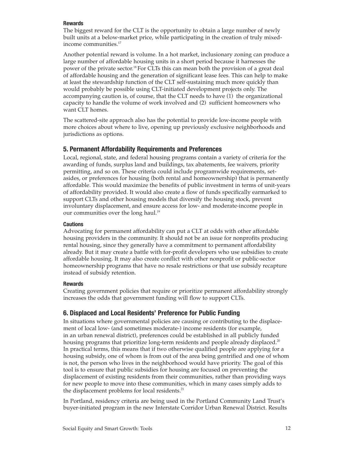#### **Rewards**

The biggest reward for the CLT is the opportunity to obtain a large number of newly built units at a below-market price, while participating in the creation of truly mixedincome communities.<sup>17</sup>

Another potential reward is volume. In a hot market, inclusionary zoning can produce a large number of affordable housing units in a short period because it harnesses the power of the private sector.<sup>18</sup> For CLTs this can mean both the provision of a great deal of affordable housing and the generation of significant lease fees. This can help to make at least the stewardship function of the CLT self-sustaining much more quickly than would probably be possible using CLT-initiated development projects only. The accompanying caution is, of course, that the CLT needs to have (1) the organizational capacity to handle the volume of work involved and (2) sufficient homeowners who want CLT homes.

The scattered-site approach also has the potential to provide low-income people with more choices about where to live, opening up previously exclusive neighborhoods and jurisdictions as options.

## **5. Permanent Affordability Requirements and Preferences**

Local, regional, state, and federal housing programs contain a variety of criteria for the awarding of funds, surplus land and buildings, tax abatements, fee waivers, priority permitting, and so on. These criteria could include programwide requirements, setasides, or preferences for housing (both rental and homeownership) that is permanently affordable. This would maximize the benefits of public investment in terms of unit-years of affordability provided. It would also create a flow of funds specifically earmarked to support CLTs and other housing models that diversify the housing stock, prevent involuntary displacement, and ensure access for low- and moderate-income people in our communities over the long haul.<sup>19</sup>

#### **Cautions**

Advocating for permanent affordability can put a CLT at odds with other affordable housing providers in the community. It should not be an issue for nonprofits producing rental housing, since they generally have a commitment to permanent affordability already. But it may create a battle with for-profit developers who use subsidies to create affordable housing. It may also create conflict with other nonprofit or public-sector homeownership programs that have no resale restrictions or that use subsidy recapture instead of subsidy retention.

### **Rewards**

Creating government policies that require or prioritize permanent affordability strongly increases the odds that government funding will flow to support CLTs.

## **6. Displaced and Local Residents' Preference for Public Funding**

In situations where governmental policies are causing or contributing to the displacement of local low- (and sometimes moderate-) income residents (for example, in an urban renewal district), preferences could be established in all publicly funded housing programs that prioritize long-term residents and people already displaced.<sup>20</sup> In practical terms, this means that if two otherwise qualified people are applying for a housing subsidy, one of whom is from out of the area being gentrified and one of whom is not, the person who lives in the neighborhood would have priority. The goal of this tool is to ensure that public subsidies for housing are focused on preventing the displacement of existing residents from their communities, rather than providing ways for new people to move into these communities, which in many cases simply adds to the displacement problems for local residents.<sup>21</sup>

In Portland, residency criteria are being used in the Portland Community Land Trust's buyer-initiated program in the new Interstate Corridor Urban Renewal District. Results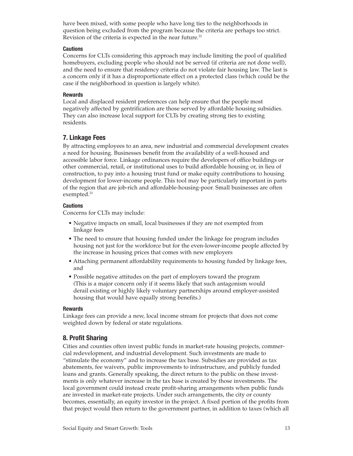have been mixed, with some people who have long ties to the neighborhoods in question being excluded from the program because the criteria are perhaps too strict. Revision of the criteria is expected in the near future.<sup>22</sup>

#### **Cautions**

Concerns for CLTs considering this approach may include limiting the pool of qualified homebuyers, excluding people who should not be served (if criteria are not done well), and the need to ensure that residency criteria do not violate fair housing law. The last is a concern only if it has a disproportionate effect on a protected class (which could be the case if the neighborhood in question is largely white).

#### **Rewards**

Local and displaced resident preferences can help ensure that the people most negatively affected by gentrification are those served by affordable housing subsidies. They can also increase local support for CLTs by creating strong ties to existing residents.

## **7. Linkage Fees**

By attracting employees to an area, new industrial and commercial development creates a need for housing. Businesses benefit from the availability of a well-housed and accessible labor force. Linkage ordinances require the developers of office buildings or other commercial, retail, or institutional uses to build affordable housing or, in lieu of construction, to pay into a housing trust fund or make equity contributions to housing development for lower-income people. This tool may be particularly important in parts of the region that are job-rich and affordable-housing-poor. Small businesses are often exempted.<sup>23</sup>

#### **Cautions**

Concerns for CLTs may include:

- Negative impacts on small, local businesses if they are not exempted from linkage fees
- The need to ensure that housing funded under the linkage fee program includes housing not just for the workforce but for the even-lower-income people affected by the increase in housing prices that comes with new employers
- Attaching permanent affordability requirements to housing funded by linkage fees, and
- Possible negative attitudes on the part of employers toward the program (This is a major concern only if it seems likely that such antagonism would derail existing or highly likely voluntary partnerships around employer-assisted housing that would have equally strong benefits.)

#### **Rewards**

Linkage fees can provide a new, local income stream for projects that does not come weighted down by federal or state regulations.

## **8. Profit Sharing**

Cities and counties often invest public funds in market-rate housing projects, commercial redevelopment, and industrial development. Such investments are made to "stimulate the economy" and to increase the tax base. Subsidies are provided as tax abatements, fee waivers, public improvements to infrastructure, and publicly funded loans and grants. Generally speaking, the direct return to the public on these investments is only whatever increase in the tax base is created by those investments. The local government could instead create profit-sharing arrangements when public funds are invested in market-rate projects. Under such arrangements, the city or county becomes, essentially, an equity investor in the project. A fixed portion of the profits from that project would then return to the government partner, in addition to taxes (which all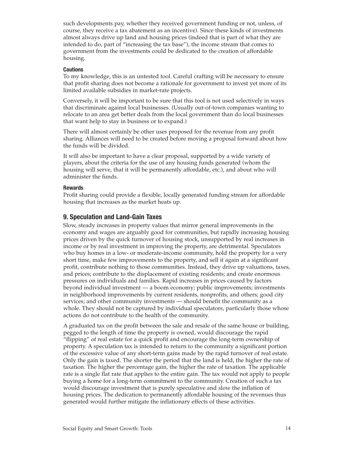such developments pay, whether they received government funding or not, unless, of course, they receive a tax abatement as an incentive). Since these kinds of investments almost always drive up land and housing prices (indeed that is part of what they are intended to do, part of "increasing the tax base"), the income stream that comes to government from the investments could be dedicated to the creation of affordable housing.

#### **Cautions**

To my knowledge, this is an untested tool. Careful crafting will be necessary to ensure that profit sharing does not become a rationale for government to invest yet more of its limited available subsidies in market-rate projects.

Conversely, it will be important to be sure that this tool is not used selectively in ways that discriminate against local businesses. (Usually out-of-town companies wanting to relocate to an area get better deals from the local government than do local businesses that want help to stay in business or to expand.)

There will almost certainly be other uses proposed for the revenue from any profit sharing. Alliances will need to be created before moving a proposal forward about how the funds will be divided.

It will also be important to have a clear proposal, supported by a wide variety of players, about the criteria for the use of any housing funds generated (whom the housing will serve, that it will be permanently affordable, etc.), and about who will administer the funds.

#### **Rewards**

Profit sharing could provide a flexible, locally generated funding stream for affordable housing that increases as the market heats up.

#### **9. Speculation and Land-Gain Taxes**

Slow, steady increases in property values that mirror general improvements in the economy and wages are arguably good for communities, but rapidly increasing housing prices driven by the quick turnover of housing stock, unsupported by real increases in income or by real investment in improving the property, are detrimental. Speculators who buy homes in a low- or moderate-income community, hold the property for a very short time, make few improvements to the property, and sell it again at a significant profit, contribute nothing to those communities. Instead, they drive up valuations, taxes, and prices; contribute to the displacement of existing residents; and create enormous pressures on individuals and families. Rapid increases in prices caused by factors beyond individual investment — a boom economy; public improvements; investments in neighborhood improvements by current residents, nonprofits, and others; good city services; and other community investments — should benefit the community as a whole. They should not be captured by individual speculators, particularly those whose actions do not contribute to the health of the community.

A graduated tax on the profit between the sale and resale of the same house or building, pegged to the length of time the property is owned, would discourage the rapid "flipping" of real estate for a quick profit and encourage the long-term ownership of property. A speculation tax is intended to return to the community a significant portion of the excessive value of any short-term gains made by the rapid turnover of real estate. Only the gain is taxed. The shorter the period that the land is held, the higher the rate of taxation. The higher the percentage gain, the higher the rate of taxation. The applicable rate is a single flat rate that applies to the entire gain. The tax would not apply to people buying a home for a long-term commitment to the community. Creation of such a tax would discourage investment that is purely speculative and slow the inflation of housing prices. The dedication to permanently affordable housing of the revenues thus generated would further mitigate the inflationary effects of these activities.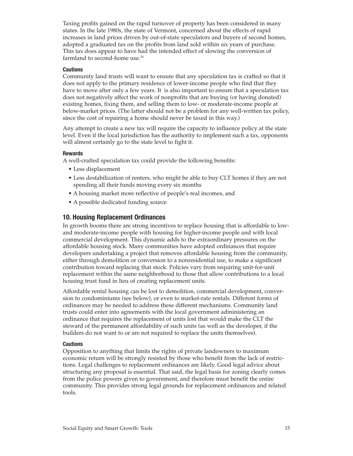Taxing profits gained on the rapid turnover of property has been considered in many states. In the late 1980s, the state of Vermont, concerned about the effects of rapid increases in land prices driven by out-of-state speculators and buyers of second homes, adopted a graduated tax on the profits from land sold within six years of purchase. This tax does appear to have had the intended effect of slowing the conversion of farmland to second-home use. $24$ 

#### **Cautions**

Community land trusts will want to ensure that any speculation tax is crafted so that it does not apply to the primary residence of lower-income people who find that they have to move after only a few years. It is also important to ensure that a speculation tax does not negatively affect the work of nonprofits that are buying (or having donated) existing homes, fixing them, and selling them to low- or moderate-income people at below-market prices. (The latter should not be a problem for any well-written tax policy, since the cost of repairing a home should never be taxed in this way.)

Any attempt to create a new tax will require the capacity to influence policy at the state level. Even if the local jurisdiction has the authority to implement such a tax, opponents will almost certainly go to the state level to fight it.

#### **Rewards**

A well-crafted speculation tax could provide the following benefits:

- Less displacement
- Less destabilization of renters, who might be able to buy CLT homes if they are not spending all their funds moving every six months
- A housing market more reflective of people's real incomes, and
- A possible dedicated funding source

## **10. Housing Replacement Ordinances**

In growth booms there are strong incentives to replace housing that is affordable to lowand moderate-income people with housing for higher-income people and with local commercial development. This dynamic adds to the extraordinary pressures on the affordable housing stock. Many communities have adopted ordinances that require developers undertaking a project that removes affordable housing from the community, either through demolition or conversion to a nonresidential use, to make a significant contribution toward replacing that stock. Policies vary from requiring unit-for-unit replacement within the same neighborhood to those that allow contributions to a local housing trust fund in lieu of creating replacement units.

Affordable rental housing can be lost to demolition, commercial development, conversion to condominiums (see below), or even to market-rate rentals. Different forms of ordinances may be needed to address these different mechanisms. Community land trusts could enter into agreements with the local government administering an ordinance that requires the replacement of units lost that would make the CLT the steward of the permanent affordability of such units (as well as the developer, if the builders do not want to or are not required to replace the units themselves).

#### **Cautions**

Opposition to anything that limits the rights of private landowners to maximum economic return will be strongly resisted by those who benefit from the lack of restrictions. Legal challenges to replacement ordinances are likely. Good legal advice about structuring any proposal is essential. That said, the legal basis for zoning clearly comes from the police powers given to government, and therefore must benefit the entire community. This provides strong legal grounds for replacement ordinances and related tools.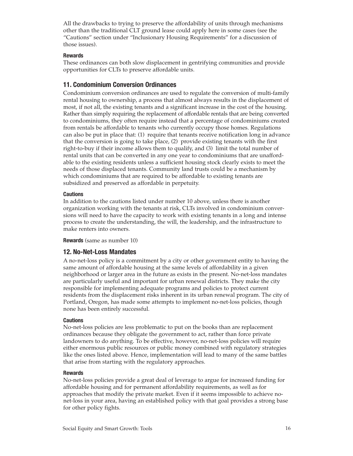All the drawbacks to trying to preserve the affordability of units through mechanisms other than the traditional CLT ground lease could apply here in some cases (see the "Cautions" section under "Inclusionary Housing Requirements" for a discussion of those issues).

### **Rewards**

These ordinances can both slow displacement in gentrifying communities and provide opportunities for CLTs to preserve affordable units.

## **11. Condominium Conversion Ordinances**

Condominium conversion ordinances are used to regulate the conversion of multi-family rental housing to ownership, a process that almost always results in the displacement of most, if not all, the existing tenants and a significant increase in the cost of the housing. Rather than simply requiring the replacement of affordable rentals that are being converted to condominiums, they often require instead that a percentage of condominiums created from rentals be affordable to tenants who currently occupy those homes. Regulations can also be put in place that: (1) require that tenants receive notification long in advance that the conversion is going to take place, (2) provide existing tenants with the first right-to-buy if their income allows them to qualify, and (3) limit the total number of rental units that can be converted in any one year to condominiums that are unaffordable to the existing residents unless a sufficient housing stock clearly exists to meet the needs of those displaced tenants. Community land trusts could be a mechanism by which condominiums that are required to be affordable to existing tenants are subsidized and preserved as affordable in perpetuity.

#### **Cautions**

In addition to the cautions listed under number 10 above, unless there is another organization working with the tenants at risk, CLTs involved in condominium conversions will need to have the capacity to work with existing tenants in a long and intense process to create the understanding, the will, the leadership, and the infrastructure to make renters into owners.

**Rewards** (same as number 10)

### **12. No-Net-Loss Mandates**

A no-net-loss policy is a commitment by a city or other government entity to having the same amount of affordable housing at the same levels of affordability in a given neighborhood or larger area in the future as exists in the present. No-net-loss mandates are particularly useful and important for urban renewal districts. They make the city responsible for implementing adequate programs and policies to protect current residents from the displacement risks inherent in its urban renewal program. The city of Portland, Oregon, has made some attempts to implement no-net-loss policies, though none has been entirely successful.

#### **Cautions**

No-net-loss policies are less problematic to put on the books than are replacement ordinances because they obligate the government to act, rather than force private landowners to do anything. To be effective, however, no-net-loss policies will require either enormous public resources or public money combined with regulatory strategies like the ones listed above. Hence, implementation will lead to many of the same battles that arise from starting with the regulatory approaches.

#### **Rewards**

No-net-loss policies provide a great deal of leverage to argue for increased funding for affordable housing and for permanent affordability requirements, as well as for approaches that modify the private market. Even if it seems impossible to achieve nonet-loss in your area, having an established policy with that goal provides a strong base for other policy fights.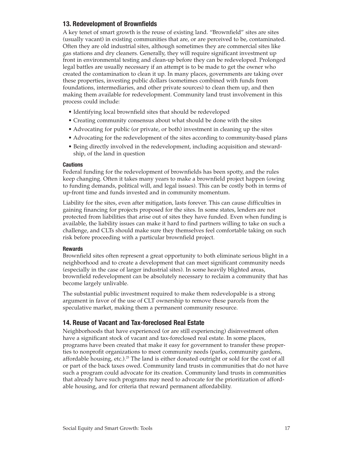## **13. Redevelopment of Brownfields**

A key tenet of smart growth is the reuse of existing land. "Brownfield" sites are sites (usually vacant) in existing communities that are, or are perceived to be, contaminated. Often they are old industrial sites, although sometimes they are commercial sites like gas stations and dry cleaners. Generally, they will require significant investment up front in environmental testing and clean-up before they can be redeveloped. Prolonged legal battles are usually necessary if an attempt is to be made to get the owner who created the contamination to clean it up. In many places, governments are taking over these properties, investing public dollars (sometimes combined with funds from foundations, intermediaries, and other private sources) to clean them up, and then making them available for redevelopment. Community land trust involvement in this process could include:

- Identifying local brownfield sites that should be redeveloped
- Creating community consensus about what should be done with the sites
- Advocating for public (or private, or both) investment in cleaning up the sites
- Advocating for the redevelopment of the sites according to community-based plans
- Being directly involved in the redevelopment, including acquisition and stewardship, of the land in question

### **Cautions**

Federal funding for the redevelopment of brownfields has been spotty, and the rules keep changing. Often it takes many years to make a brownfield project happen (owing to funding demands, political will, and legal issues). This can be costly both in terms of up-front time and funds invested and in community momentum.

Liability for the sites, even after mitigation, lasts forever. This can cause difficulties in gaining financing for projects proposed for the sites. In some states, lenders are not protected from liabilities that arise out of sites they have funded. Even when funding is available, the liability issues can make it hard to find partners willing to take on such a challenge, and CLTs should make sure they themselves feel comfortable taking on such risk before proceeding with a particular brownfield project.

### **Rewards**

Brownfield sites often represent a great opportunity to both eliminate serious blight in a neighborhood and to create a development that can meet significant community needs (especially in the case of larger industrial sites). In some heavily blighted areas, brownfield redevelopment can be absolutely necessary to reclaim a community that has become largely unlivable.

The substantial public investment required to make them redevelopable is a strong argument in favor of the use of CLT ownership to remove these parcels from the speculative market, making them a permanent community resource.

## **14. Reuse of Vacant and Tax-foreclosed Real Estate**

Neighborhoods that have experienced (or are still experiencing) disinvestment often have a significant stock of vacant and tax-foreclosed real estate. In some places, programs have been created that make it easy for government to transfer these properties to nonprofit organizations to meet community needs (parks, community gardens, affordable housing, etc.).<sup>25</sup> The land is either donated outright or sold for the cost of all or part of the back taxes owed. Community land trusts in communities that do not have such a program could advocate for its creation. Community land trusts in communities that already have such programs may need to advocate for the prioritization of affordable housing, and for criteria that reward permanent affordability.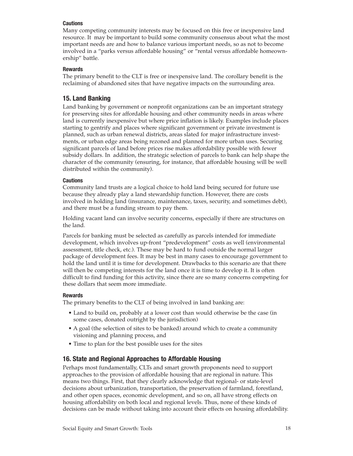### **Cautions**

Many competing community interests may be focused on this free or inexpensive land resource. It may be important to build some community consensus about what the most important needs are and how to balance various important needs, so as not to become involved in a "parks versus affordable housing" or "rental versus affordable homeownership" battle.

### **Rewards**

The primary benefit to the CLT is free or inexpensive land. The corollary benefit is the reclaiming of abandoned sites that have negative impacts on the surrounding area.

## **15. Land Banking**

Land banking by government or nonprofit organizations can be an important strategy for preserving sites for affordable housing and other community needs in areas where land is currently inexpensive but where price inflation is likely. Examples include places starting to gentrify and places where significant government or private investment is planned, such as urban renewal districts, areas slated for major infrastructure investments, or urban edge areas being rezoned and planned for more urban uses. Securing significant parcels of land before prices rise makes affordability possible with fewer subsidy dollars. In addition, the strategic selection of parcels to bank can help shape the character of the community (ensuring, for instance, that affordable housing will be well distributed within the community).

## **Cautions**

Community land trusts are a logical choice to hold land being secured for future use because they already play a land stewardship function. However, there are costs involved in holding land (insurance, maintenance, taxes, security, and sometimes debt), and there must be a funding stream to pay them.

Holding vacant land can involve security concerns, especially if there are structures on the land.

Parcels for banking must be selected as carefully as parcels intended for immediate development, which involves up-front "predevelopment" costs as well (environmental assessment, title check, etc.). These may be hard to fund outside the normal larger package of development fees. It may be best in many cases to encourage government to hold the land until it is time for development. Drawbacks to this scenario are that there will then be competing interests for the land once it is time to develop it. It is often difficult to find funding for this activity, since there are so many concerns competing for these dollars that seem more immediate.

### **Rewards**

The primary benefits to the CLT of being involved in land banking are:

- Land to build on, probably at a lower cost than would otherwise be the case (in some cases, donated outright by the jurisdiction)
- A goal (the selection of sites to be banked) around which to create a community visioning and planning process, and
- Time to plan for the best possible uses for the sites

## **16. State and Regional Approaches to Affordable Housing**

Perhaps most fundamentally, CLTs and smart growth proponents need to support approaches to the provision of affordable housing that are regional in nature. This means two things. First, that they clearly acknowledge that regional- or state-level decisions about urbanization, transportation, the preservation of farmland, forestland, and other open spaces, economic development, and so on, all have strong effects on housing affordability on both local and regional levels. Thus, none of these kinds of decisions can be made without taking into account their effects on housing affordability.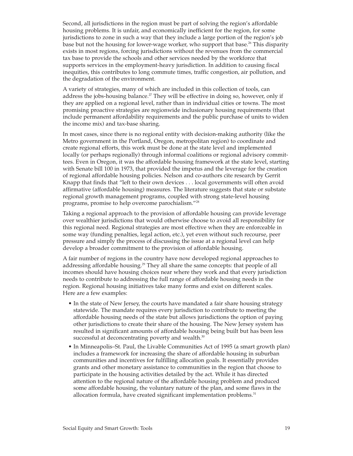Second, all jurisdictions in the region must be part of solving the region's affordable housing problems. It is unfair, and economically inefficient for the region, for some jurisdictions to zone in such a way that they include a large portion of the region's job base but not the housing for lower-wage worker, who support that base.<sup>26</sup> This disparity exists in most regions, forcing jurisdictions without the revenues from the commercial tax base to provide the schools and other services needed by the workforce that supports services in the employment-heavy jurisdiction. In addition to causing fiscal inequities, this contributes to long commute times, traffic congestion, air pollution, and the degradation of the environment.

A variety of strategies, many of which are included in this collection of tools, can address the jobs-housing balance.<sup> $27$ </sup> They will be effective in doing so, however, only if they are applied on a regional level, rather than in individual cities or towns. The most promising proactive strategies are regionwide inclusionary housing requirements (that include permanent affordability requirements and the public purchase of units to widen the income mix) and tax-base sharing.

In most cases, since there is no regional entity with decision-making authority (like the Metro government in the Portland, Oregon, metropolitan region) to coordinate and create regional efforts, this work must be done at the state level and implemented locally (or perhaps regionally) through informal coalitions or regional advisory committees. Even in Oregon, it was the affordable housing framework at the state level, starting with Senate bill 100 in 1973, that provided the impetus and the leverage for the creation of regional affordable housing policies. Nelson and co-authors cite research by Gerrit Knapp that finds that "left to their own devices . . . local governments will often avoid affirmative (affordable housing) measures. The literature suggests that state or substate regional growth management programs, coupled with strong state-level housing programs, promise to help overcome parochialism."28

Taking a regional approach to the provision of affordable housing can provide leverage over wealthier jurisdictions that would otherwise choose to avoid all responsibility for this regional need. Regional strategies are most effective when they are enforceable in some way (funding penalties, legal action, etc.), yet even without such recourse, peer pressure and simply the process of discussing the issue at a regional level can help develop a broader commitment to the provision of affordable housing.

A fair number of regions in the country have now developed regional approaches to addressing affordable housing.<sup>29</sup> They all share the same concepts: that people of all incomes should have housing choices near where they work and that every jurisdiction needs to contribute to addressing the full range of affordable housing needs in the region. Regional housing initiatives take many forms and exist on different scales. Here are a few examples:

- In the state of New Jersey, the courts have mandated a fair share housing strategy statewide. The mandate requires every jurisdiction to contribute to meeting the affordable housing needs of the state but allows jurisdictions the option of paying other jurisdictions to create their share of the housing. The New Jersey system has resulted in significant amounts of affordable housing being built but has been less successful at deconcentrating poverty and wealth.<sup>30</sup>
- In Minneapolis–St. Paul, the Livable Communities Act of 1995 (a smart growth plan) includes a framework for increasing the share of affordable housing in suburban communities and incentives for fulfilling allocation goals. It essentially provides grants and other monetary assistance to communities in the region that choose to participate in the housing activities detailed by the act. While it has directed attention to the regional nature of the affordable housing problem and produced some affordable housing, the voluntary nature of the plan, and some flaws in the allocation formula, have created significant implementation problems.<sup>31</sup>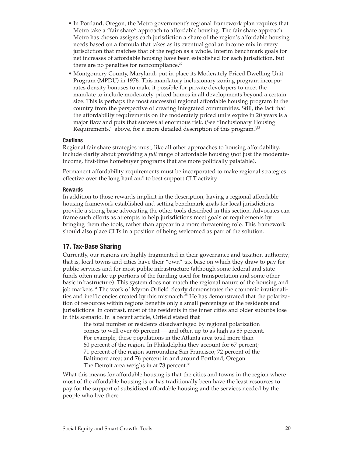- In Portland, Oregon, the Metro government's regional framework plan requires that Metro take a "fair share" approach to affordable housing. The fair share approach Metro has chosen assigns each jurisdiction a share of the region's affordable housing needs based on a formula that takes as its eventual goal an income mix in every jurisdiction that matches that of the region as a whole. Interim benchmark goals for net increases of affordable housing have been established for each jurisdiction, but there are no penalties for noncompliance. $32$
- Montgomery County, Maryland, put in place its Moderately Priced Dwelling Unit Program (MPDU) in 1976. This mandatory inclusionary zoning program incorporates density bonuses to make it possible for private developers to meet the mandate to include moderately priced homes in all developments beyond a certain size. This is perhaps the most successful regional affordable housing program in the country from the perspective of creating integrated communities. Still, the fact that the affordability requirements on the moderately priced units expire in 20 years is a major flaw and puts that success at enormous risk. (See "Inclusionary Housing Requirements," above, for a more detailed description of this program.)<sup>33</sup>

#### **Cautions**

Regional fair share strategies must, like all other approaches to housing affordability, include clarity about providing a *full* range of affordable housing (not just the moderateincome, first-time homebuyer programs that are more politically palatable).

Permanent affordability requirements must be incorporated to make regional strategies effective over the long haul and to best support CLT activity.

#### **Rewards**

In addition to those rewards implicit in the description, having a regional affordable housing framework established and setting benchmark goals for local jurisdictions provide a strong base advocating the other tools described in this section. Advocates can frame such efforts as attempts to help jurisdictions meet goals or requirements by bringing them the tools, rather than appear in a more threatening role. This framework should also place CLTs in a position of being welcomed as part of the solution.

## **17. Tax-Base Sharing**

Currently, our regions are highly fragmented in their governance and taxation authority; that is, local towns and cities have their "own" tax-base on which they draw to pay for public services and for most public infrastructure (although some federal and state funds often make up portions of the funding used for transportation and some other basic infrastructure). This system does not match the regional nature of the housing and job markets.<sup>34</sup> The work of Myron Orfield clearly demonstrates the economic irrationalities and inefficiencies created by this mismatch.<sup>35</sup> He has demonstrated that the polarization of resources within regions benefits only a small percentage of the residents and jurisdictions. In contrast, most of the residents in the inner cities and older suburbs lose in this scenario. In a recent article, Orfield stated that

the total number of residents disadvantaged by regional polarization comes to well over 65 percent — and often up to as high as 85 percent. For example, these populations in the Atlanta area total more than 60 percent of the region. In Philadelphia they account for 67 percent; 71 percent of the region surrounding San Francisco; 72 percent of the Baltimore area; and 76 percent in and around Portland, Oregon. The Detroit area weighs in at 78 percent.<sup>36</sup>

What this means for affordable housing is that the cities and towns in the region where most of the affordable housing is or has traditionally been have the least resources to pay for the support of subsidized affordable housing and the services needed by the people who live there.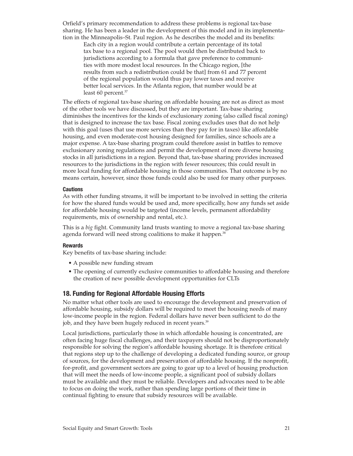Orfield's primary recommendation to address these problems is regional tax-base sharing. He has been a leader in the development of this model and in its implementation in the Minneapolis–St. Paul region. As he describes the model and its benefits:

Each city in a region would contribute a certain percentage of its total tax base to a regional pool. The pool would then be distributed back to jurisdictions according to a formula that gave preference to communities with more modest local resources. In the Chicago region, [the results from such a redistribution could be that] from 61 and 77 percent of the regional population would thus pay lower taxes and receive better local services. In the Atlanta region, that number would be at least 60 percent.<sup>37</sup>

The effects of regional tax-base sharing on affordable housing are not as direct as most of the other tools we have discussed, but they are important. Tax-base sharing diminishes the incentives for the kinds of exclusionary zoning (also called fiscal zoning) that is designed to increase the tax base. Fiscal zoning excludes uses that do not help with this goal (uses that use more services than they pay for in taxes) like affordable housing, and even moderate-cost housing designed for families, since schools are a major expense. A tax-base sharing program could therefore assist in battles to remove exclusionary zoning regulations and permit the development of more diverse housing stocks in all jurisdictions in a region. Beyond that, tax-base sharing provides increased resources to the jurisdictions in the region with fewer resources; this could result in more local funding for affordable housing in those communities. That outcome is by no means certain, however, since those funds could also be used for many other purposes.

#### **Cautions**

As with other funding streams, it will be important to be involved in setting the criteria for how the shared funds would be used and, more specifically, how any funds set aside for affordable housing would be targeted (income levels, permanent affordability requirements, mix of ownership and rental, etc.).

This is a *big* fight. Community land trusts wanting to move a regional tax-base sharing agenda forward will need strong coalitions to make it happen.<sup>38</sup>

#### **Rewards**

Key benefits of tax-base sharing include:

- A possible new funding stream
- The opening of currently exclusive communities to affordable housing and therefore the creation of new possible development opportunities for CLTs

### **18. Funding for Regional Affordable Housing Efforts**

No matter what other tools are used to encourage the development and preservation of affordable housing, subsidy dollars will be required to meet the housing needs of many low-income people in the region. Federal dollars have never been sufficient to do the job, and they have been hugely reduced in recent years.<sup>39</sup>

Local jurisdictions, particularly those in which affordable housing is concentrated, are often facing huge fiscal challenges, and their taxpayers should not be disproportionately responsible for solving the region's affordable housing shortage. It is therefore critical that regions step up to the challenge of developing a dedicated funding source, or group of sources, for the development and preservation of affordable housing. If the nonprofit, for-profit, and government sectors are going to gear up to a level of housing production that will meet the needs of low-income people, a significant pool of subsidy dollars must be available and they must be reliable. Developers and advocates need to be able to focus on doing the work, rather than spending large portions of their time in continual fighting to ensure that subsidy resources will be available.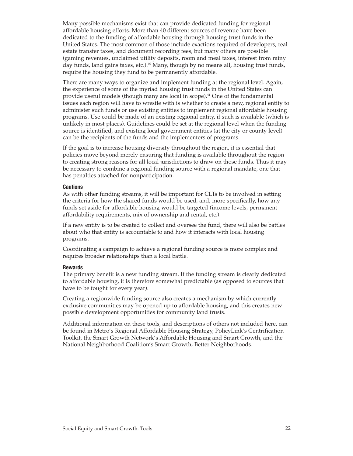Many possible mechanisms exist that can provide dedicated funding for regional affordable housing efforts. More than 40 different sources of revenue have been dedicated to the funding of affordable housing through housing trust funds in the United States. The most common of those include exactions required of developers, real estate transfer taxes, and document recording fees, but many others are possible (gaming revenues, unclaimed utility deposits, room and meal taxes, interest from rainy day funds, land gains taxes, etc.).<sup>40</sup> Many, though by no means all, housing trust funds, require the housing they fund to be permanently affordable.

There are many ways to organize and implement funding at the regional level. Again, the experience of some of the myriad housing trust funds in the United States can provide useful models (though many are local in scope).41 One of the fundamental issues each region will have to wrestle with is whether to create a new, regional entity to administer such funds or use existing entities to implement regional affordable housing programs. Use could be made of an existing regional entity, if such is available (which is unlikely in most places). Guidelines could be set at the regional level when the funding source is identified, and existing local government entities (at the city or county level) can be the recipients of the funds and the implementers of programs.

If the goal is to increase housing diversity throughout the region, it is essential that policies move beyond merely ensuring that funding is available throughout the region to creating strong reasons for all local jurisdictions to draw on those funds. Thus it may be necessary to combine a regional funding source with a regional mandate, one that has penalties attached for nonparticipation.

#### **Cautions**

As with other funding streams, it will be important for CLTs to be involved in setting the criteria for how the shared funds would be used, and, more specifically, how any funds set aside for affordable housing would be targeted (income levels, permanent affordability requirements, mix of ownership and rental, etc.).

If a new entity is to be created to collect and oversee the fund, there will also be battles about who that entity is accountable to and how it interacts with local housing programs.

Coordinating a campaign to achieve a regional funding source is more complex and requires broader relationships than a local battle.

#### **Rewards**

The primary benefit is a new funding stream. If the funding stream is clearly dedicated to affordable housing, it is therefore somewhat predictable (as opposed to sources that have to be fought for every year).

Creating a regionwide funding source also creates a mechanism by which currently exclusive communities may be opened up to affordable housing, and this creates new possible development opportunities for community land trusts.

Additional information on these tools, and descriptions of others not included here, can be found in Metro's Regional Affordable Housing Strategy, PolicyLink's Gentrification Toolkit, the Smart Growth Network's Affordable Housing and Smart Growth, and the National Neighborhood Coalition's Smart Growth, Better Neighborhoods.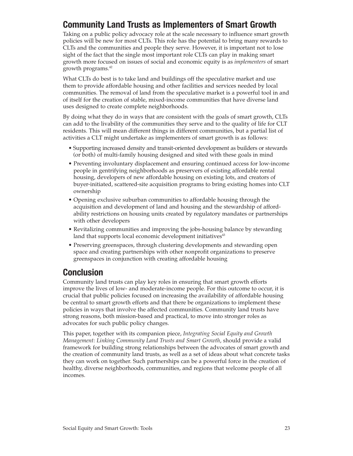# **Community Land Trusts as Implementers of Smart Growth**

Taking on a public policy advocacy role at the scale necessary to influence smart growth policies will be new for most CLTs. This role has the potential to bring many rewards to CLTs and the communities and people they serve. However, it is important not to lose sight of the fact that the single most important role CLTs can play in making smart growth more focused on issues of social and economic equity is as *implementers* of smart growth programs. $42$ 

What CLTs do best is to take land and buildings off the speculative market and use them to provide affordable housing and other facilities and services needed by local communities. The removal of land from the speculative market is a powerful tool in and of itself for the creation of stable, mixed-income communities that have diverse land uses designed to create complete neighborhoods.

By doing what they do in ways that are consistent with the goals of smart growth, CLTs can add to the livability of the communities they serve and to the quality of life for CLT residents. This will mean different things in different communities, but a partial list of activities a CLT might undertake as implementers of smart growth is as follows:

- Supporting increased density and transit-oriented development as builders or stewards (or both) of multi-family housing designed and sited with these goals in mind
- Preventing involuntary displacement and ensuring continued access for low-income people in gentrifying neighborhoods as preservers of existing affordable rental housing, developers of new affordable housing on existing lots, and creators of buyer-initiated, scattered-site acquisition programs to bring existing homes into CLT ownership
- Opening exclusive suburban communities to affordable housing through the acquisition and development of land and housing and the stewardship of affordability restrictions on housing units created by regulatory mandates or partnerships with other developers
- Revitalizing communities and improving the jobs-housing balance by stewarding land that supports local economic development initiatives<sup>43</sup>
- Preserving greenspaces, through clustering developments and stewarding open space and creating partnerships with other nonprofit organizations to preserve greenspaces in conjunction with creating affordable housing

# **Conclusion**

Community land trusts can play key roles in ensuring that smart growth efforts improve the lives of low- and moderate-income people. For this outcome to occur, it is crucial that public policies focused on increasing the availability of affordable housing be central to smart growth efforts and that there be organizations to implement these policies in ways that involve the affected communities. Community land trusts have strong reasons, both mission-based and practical, to move into stronger roles as advocates for such public policy changes.

This paper, together with its companion piece, *Integrating Social Equity and Growth Management: Linking Community Land Trusts and Smart Growth*, should provide a valid framework for building strong relationships between the advocates of smart growth and the creation of community land trusts, as well as a set of ideas about what concrete tasks they can work on together. Such partnerships can be a powerful force in the creation of healthy, diverse neighborhoods, communities, and regions that welcome people of all incomes.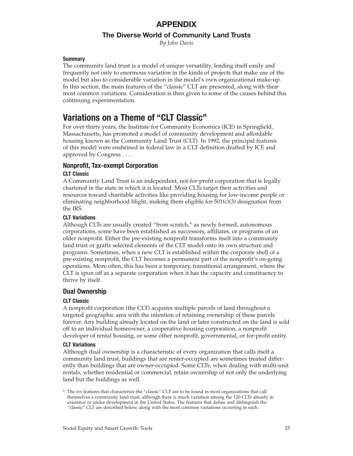## **APPENDIX**

## **The Diverse World of Community Land Trusts**

*By John Davis*

#### **Summary**

The community land trust is a model of unique versatility, lending itself easily and frequently not only to enormous variation in the kinds of projects that make use of the model but also to considerable variation in the model's own organizational make-up. In this section, the main features of the "classic" CLT are presented, along with their most common variations. Consideration is then given to some of the causes behind this continuing experimentation.

# **Variations on a Theme of "CLT Classic"**

For over thirty years, the Institute for Community Economics (ICE) in Springfield, Massachusetts, has promoted a model of community development and affordable housing known as the Community Land Trust (CLT). In 1992, the principal features of this model were enshrined in federal law in a CLT definition drafted by ICE and approved by Congress . . . .

## **Nonprofit, Tax-exempt Corporation**

### **CLT Classic**

A Community Land Trust is an independent, not-for-profit corporation that is legally chartered in the state in which it is located. Most CLTs target their activities and resources toward charitable activities like providing housing for low-income people or eliminating neighborhood blight, making them eligible for  $501(c)(3)$  designation from the IRS.

#### **CLT Variations**

Although CLTs are usually created "from scratch," as newly formed, autonomous corporations, some have been established as successors, affiliates, or programs of an older nonprofit. Either the pre-existing nonprofit transforms itself into a community land trust or grafts selected elements of the CLT model onto its own structure and programs. Sometimes, when a new CLT is established within the corporate shell of a pre-existing nonprofit, the CLT becomes a permanent part of the nonprofit's on-going operations. More often, this has been a temporary, transitional arrangement, where the CLT is spun off as a separate corporation when it has the capacity and constituency to thrive by itself.

## **Dual Ownership**

### **CLT Classic**

A nonprofit corporation (the CLT) acquires multiple parcels of land throughout a targeted geographic area with the intention of retaining ownership of these parcels forever. Any building already located on the land or later constructed on the land is sold off to an individual homeowner, a cooperative housing corporation, a nonprofit developer of rental housing, or some other nonprofit, governmental, or for-profit entity.

#### **CLT Variations**

Although dual ownership is a characteristic of every organization that calls itself a community land trust, buildings that are renter-occupied are sometimes treated differently than buildings that are owner-occupied. Some CLTs, when dealing with multi-unit rentals, whether residential or commercial, retain ownership of not only the underlying land but the buildings as well.

\* The *ten* features that characterize the "classic" CLT are to be found in most organizations that call themselves a community land trust, although there is much variation among the 120 CLTs already in existence or under development in the United States. The features that define and distinguish the "classic" CLT are described below, along with the most common variations occurring in each.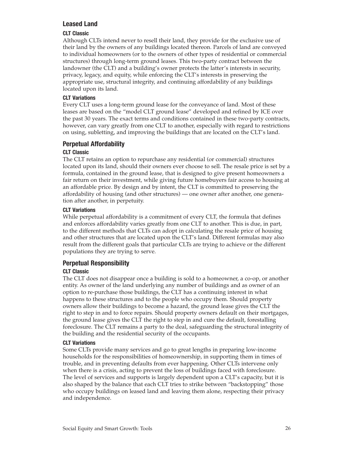## **Leased Land**

## **CLT Classic**

Although CLTs intend never to resell their land, they provide for the exclusive use of their land by the owners of any buildings located thereon. Parcels of land are conveyed to individual homeowners (or to the owners of other types of residential or commercial structures) through long-term ground leases. This two-party contract between the landowner (the CLT) and a building's owner protects the latter's interests in security, privacy, legacy, and equity, while enforcing the CLT's interests in preserving the appropriate use, structural integrity, and continuing affordability of any buildings located upon its land.

## **CLT Variations**

Every CLT uses a long-term ground lease for the conveyance of land. Most of these leases are based on the "model CLT ground lease" developed and refined by ICE over the past 30 years. The exact terms and conditions contained in these two-party contracts, however, can vary greatly from one CLT to another, especially with regard to restrictions on using, subletting, and improving the buildings that are located on the CLT's land.

## **Perpetual Affordability**

## **CLT Classic**

The CLT retains an option to repurchase any residential (or commercial) structures located upon its land, should their owners ever choose to sell. The resale price is set by a formula, contained in the ground lease, that is designed to give present homeowners a fair return on their investment, while giving future homebuyers fair access to housing at an affordable price. By design and by intent, the CLT is committed to preserving the affordability of housing (and other structures) — one owner after another, one generation after another, in perpetuity.

## **CLT Variations**

While perpetual affordability is a commitment of every CLT, the formula that defines and enforces affordability varies greatly from one CLT to another. This is due, in part, to the different methods that CLTs can adopt in calculating the resale price of housing and other structures that are located upon the CLT's land. Different formulas may also result from the different goals that particular CLTs are trying to achieve or the different populations they are trying to serve.

## **Perpetual Responsibility**

## **CLT Classic**

The CLT does not disappear once a building is sold to a homeowner, a co-op, or another entity. As owner of the land underlying any number of buildings and as owner of an option to re-purchase those buildings, the CLT has a continuing interest in what happens to these structures and to the people who occupy them. Should property owners allow their buildings to become a hazard, the ground lease gives the CLT the right to step in and to force repairs. Should property owners default on their mortgages, the ground lease gives the CLT the right to step in and cure the default, forestalling foreclosure. The CLT remains a party to the deal, safeguarding the structural integrity of the building and the residential security of the occupants.

## **CLT Variations**

Some CLTs provide many services and go to great lengths in preparing low-income households for the responsibilities of homeownership, in supporting them in times of trouble, and in preventing defaults from ever happening. Other CLTs intervene only when there is a crisis, acting to prevent the loss of buildings faced with foreclosure. The level of services and supports is largely dependent upon a CLT's capacity, but it is also shaped by the balance that each CLT tries to strike between "backstopping" those who occupy buildings on leased land and leaving them alone, respecting their privacy and independence.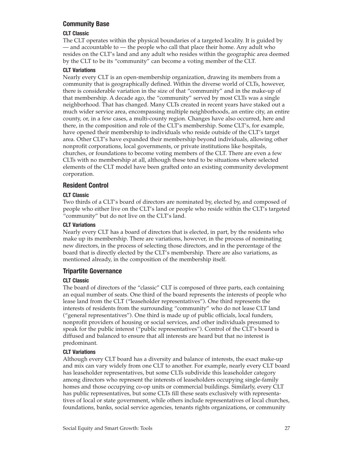## **Community Base**

## **CLT Classic**

The CLT operates within the physical boundaries of a targeted locality. It is guided by — and accountable to — the people who call that place their home. Any adult who resides on the CLT's land and any adult who resides within the geographic area deemed by the CLT to be its "community" can become a voting member of the CLT.

## **CLT Variations**

Nearly every CLT is an open-membership organization, drawing its members from a community that is geographically defined. Within the diverse world of CLTs, however, there is considerable variation in the size of that "community" and in the make-up of that membership. A decade ago, the "community" served by most CLTs was a single neighborhood. That has changed. Many CLTs created in recent years have staked out a much wider service area, encompassing multiple neighborhoods, an entire city, an entire county, or, in a few cases, a multi-county region. Changes have also occurred, here and there, in the composition and role of the CLT's membership. Some CLT's, for example, have opened their membership to individuals who reside outside of the CLT's target area. Other CLT's have expanded their membership beyond individuals, allowing other nonprofit corporations, local governments, or private institutions like hospitals, churches, or foundations to become voting members of the CLT. There are even a few CLTs with no membership at all, although these tend to be situations where selected elements of the CLT model have been grafted onto an existing community development corporation.

## **Resident Control**

## **CLT Classic**

Two thirds of a CLT's board of directors are nominated by, elected by, and composed of people who either live on the CLT's land or people who reside within the CLT's targeted "community" but do not live on the CLT's land.

## **CLT Variations**

Nearly every CLT has a board of directors that is elected, in part, by the residents who make up its membership. There are variations, however, in the process of nominating new directors, in the process of selecting those directors, and in the percentage of the board that is directly elected by the CLT's membership. There are also variations, as mentioned already, in the composition of the membership itself.

## **Tripartite Governance**

### **CLT Classic**

The board of directors of the "classic" CLT is composed of three parts, each containing an equal number of seats. One third of the board represents the interests of people who lease land from the CLT ("leaseholder representatives"). One third represents the interests of residents from the surrounding "community" who do not lease CLT land ("general representatives"). One third is made up of public officials, local funders, nonprofit providers of housing or social services, and other individuals presumed to speak for the public interest ("public representatives"). Control of the CLT's board is diffused and balanced to ensure that all interests are heard but that no interest is predominant.

## **CLT Variations**

Although every CLT board has a diversity and balance of interests, the exact make-up and mix can vary widely from one CLT to another. For example, nearly every CLT board has leaseholder representatives, but some CLTs subdivide this leaseholder category among directors who represent the interests of leaseholders occupying single-family homes and those occupying co-op units or commercial buildings. Similarly, every CLT has public representatives, but some CLTs fill these seats exclusively with representatives of local or state government, while others include representatives of local churches, foundations, banks, social service agencies, tenants rights organizations, or community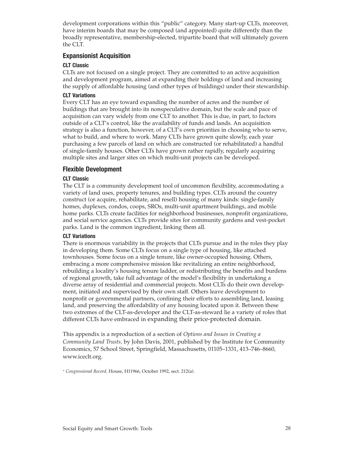development corporations within this "public" category. Many start-up CLTs, moreover, have interim boards that may be composed (and appointed) quite differently than the broadly representative, membership-elected, tripartite board that will ultimately govern the CLT.

## **Expansionist Acquisition**

## **CLT Classic**

CLTs are not focused on a single project. They are committed to an active acquisition and development program, aimed at expanding their holdings of land and increasing the supply of affordable housing (and other types of buildings) under their stewardship.

## **CLT Variations**

Every CLT has an eye toward expanding the number of acres and the number of buildings that are brought into its nonspeculative domain, but the scale and pace of acquisition can vary widely from one CLT to another. This is due, in part, to factors outside of a CLT's control, like the availability of funds and lands. An acquisition strategy is also a function, however, of a CLT's own priorities in choosing who to serve, what to build, and where to work. Many CLTs have grown quite slowly, each year purchasing a few parcels of land on which are constructed (or rehabilitated) a handful of single-family houses. Other CLTs have grown rather rapidly, regularly acquiring multiple sites and larger sites on which multi-unit projects can be developed.

## **Flexible Development**

### **CLT Classic**

The CLT is a community development tool of uncommon flexibility, accommodating a variety of land uses, property tenures, and building types. CLTs around the country construct (or acquire, rehabilitate, and resell) housing of many kinds: single-family homes, duplexes, condos, coops, SROs, multi-unit apartment buildings, and mobile home parks. CLTs create facilities for neighborhood businesses, nonprofit organizations, and social service agencies. CLTs provide sites for community gardens and vest-pocket parks. Land is the common ingredient, linking them all.

### **CLT Variations**

There is enormous variability in the projects that CLTs pursue and in the roles they play in developing them. Some CLTs focus on a single type of housing, like attached townhouses. Some focus on a single tenure, like owner-occupied housing. Others, embracing a more comprehensive mission like revitalizing an entire neighborhood, rebuilding a locality's housing tenure ladder, or redistributing the benefits and burdens of regional growth, take full advantage of the model's flexibility in undertaking a diverse array of residential and commercial projects. Most CLTs do their own development, initiated and supervised by their own staff. Others leave development to nonprofit or governmental partners, confining their efforts to assembling land, leasing land, and preserving the affordability of any housing located upon it. Between these two extremes of the CLT-as-developer and the CLT-as-steward lie a variety of roles that different CLTs have embraced in expanding their price-protected domain.

This appendix is a reproduction of a section of *Options and Issues in Creating a Community Land Trusts,* by John Davis, 2001, published by the Institute for Community Economics, 57 School Street, Springfield, Massachusetts, 01105–1331, 413–746–8660, www.iceclt.org.

<sup>∗</sup> *Congressional Record,* House, H11966, October 1992, sect. 212(a).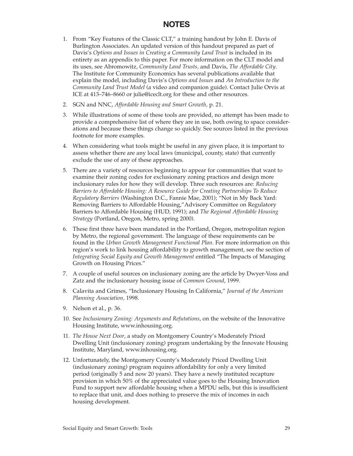## **NOTES**

- 1. From "Key Features of the Classic CLT," a training handout by John E. Davis of Burlington Associates. An updated version of this handout prepared as part of Davis's *Options and Issues in Creating a Community Land Trust* is included in its entirety as an appendix to this paper. For more information on the CLT model and its uses, see Abromowitz*, Community Land Trusts,* and Davis, *The Affordable City*. The Institute for Community Economics has several publications available that explain the model, including Davis's *Options and Issues* and *An Introduction to the Community Land Trust Model* (a video and companion guide). Contact Julie Orvis at ICE at 413–746–8660 or julie@iceclt.org for these and other resources.
- 2. SGN and NNC, *Affordable Housing and Smart Growth,* p. 21.
- 3. While illustrations of some of these tools are provided, no attempt has been made to provide a comprehensive list of where they are in use, both owing to space considerations and because these things change so quickly. See sources listed in the previous footnote for more examples.
- 4. When considering what tools might be useful in any given place, it is important to assess whether there are any local laws (municipal, county, state) that currently exclude the use of any of these approaches.
- 5. There are a variety of resources beginning to appear for communities that want to examine their zoning codes for exclusionary zoning practices and design more inclusionary rules for how they will develop. Three such resources are: *Reducing Barriers to Affordable Housing: A Resource Guide for Creating Partnerships To Reduce Regulatory Barriers* (Washington D.C., Fannie Mae, 2001); "Not in My Back Yard: Removing Barriers to Affordable Housing,"Advisory Committee on Regulatory Barriers to Affordable Housing (HUD, 1991); and *The Regional Affordable Housing Strategy* (Portland, Oregon, Metro, spring 2000).
- 6. These first three have been mandated in the Portland, Oregon, metropolitan region by Metro, the regional government. The language of these requirements can be found in the *Urban Growth Management Functional Plan*. For more information on this region's work to link housing affordability to growth management, see the section of *Integrating Social Equity and Growth Management* entitled "The Impacts of Managing Growth on Housing Prices."
- 7. A couple of useful sources on inclusionary zoning are the article by Dwyer-Voss and Zatz and the inclusionary housing issue of *Common Ground*, 1999.
- 8. Calavita and Grimes, "Inclusionary Housing In California," *Journal of the American Planning Association,* 1998.
- 9. Nelson et al., p. 36.
- 10. See *Inclusionary Zoning: Arguments and Refutations*, on the website of the Innovative Housing Institute, www.inhousing.org.
- 11. *The House Next Door*, a study on Montgomery Country's Moderately Priced Dwelling Unit (inclusionary zoning) program undertaking by the Innovate Housing Institute, Maryland, www.inhousing.org.
- 12. Unfortunately, the Montgomery County's Moderately Priced Dwelling Unit (inclusionary zoning) program requires affordability for only a very limited period (originally 5 and now 20 years). They have a newly instituted recapture provision in which 50% of the appreciated value goes to the Housing Innovation Fund to support new affordable housing when a MPDU sells, but this is insufficient to replace that unit, and does nothing to preserve the mix of incomes in each housing development.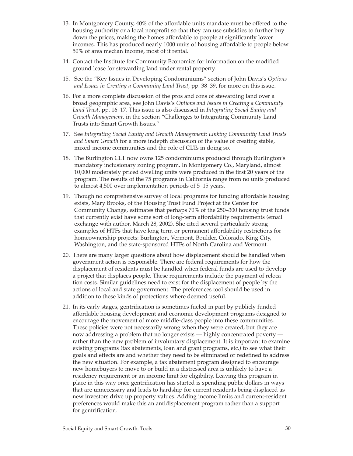- 13. In Montgomery County, 40% of the affordable units mandate must be offered to the housing authority or a local nonprofit so that they can use subsidies to further buy down the prices, making the homes affordable to people at significantly lower incomes. This has produced nearly 1000 units of housing affordable to people below 50% of area median income, most of it rental.
- 14. Contact the Institute for Community Economics for information on the modified ground lease for stewarding land under rental property.
- 15. See the "Key Issues in Developing Condominiums" section of John Davis's *Options and Issues in Creating a Community Land Trust*, pp. 38–39, for more on this issue.
- 16. For a more complete discussion of the pros and cons of stewarding land over a broad geographic area, see John Davis's *Options and Issues in Creating a Community Land Trust,* pp. 16–17. This issue is also discussed in *Integrating Social Equity and Growth Management,* in the section "Challenges to Integrating Community Land Trusts into Smart Growth Issues."
- 17. See *Integrating Social Equity and Growth Management: Linking Community Land Trusts and Smart Growth* for a more indepth discussion of the value of creating stable, mixed-income communities and the role of CLTs in doing so.
- 18. The Burlington CLT now owns 125 condominiums produced through Burlington's mandatory inclusionary zoning program. In Montgomery Co., Maryland, almost 10,000 moderately priced dwelling units were produced in the first 20 years of the program. The results of the 75 programs in California range from no units produced to almost 4,500 over implementation periods of 5–15 years.
- 19. Though no comprehensive survey of local programs for funding affordable housing exists, Mary Brooks, of the Housing Trust Fund Project at the Center for Community Change, estimates that perhaps 70% of the 250–300 housing trust funds that currently exist have some sort of long-term affordability requirements (email exchange with author, March 28, 2002). She cited several particularly strong examples of HTFs that have long-term or permanent affordability restrictions for homeownership projects: Burlington, Vermont, Boulder, Colorado, King City, Washington, and the state-sponsored HTFs of North Carolina and Vermont.
- 20. There are many larger questions about how displacement should be handled when government action is responsible. There are federal requirements for how the displacement of residents must be handled when federal funds are used to develop a project that displaces people. These requirements include the payment of relocation costs. Similar guidelines need to exist for the displacement of people by the actions of local and state government. The preferences tool should be used in addition to these kinds of protections where deemed useful.
- 21. In its early stages, gentrification is sometimes fueled in part by publicly funded affordable housing development and economic development programs designed to encourage the movement of more middle-class people into these communities. These policies were not necessarily wrong when they were created, but they are now addressing a problem that no longer exists — highly concentrated poverty rather than the new problem of involuntary displacement. It is important to examine existing programs (tax abatements, loan and grant programs, etc.) to see what their goals and effects are and whether they need to be eliminated or redefined to address the new situation. For example, a tax abatement program designed to encourage new homebuyers to move to or build in a distressed area is unlikely to have a residency requirement or an income limit for eligibility. Leaving this program in place in this way once gentrification has started is spending public dollars in ways that are unnecessary and leads to hardship for current residents being displaced as new investors drive up property values. Adding income limits and current-resident preferences would make this an antidisplacement program rather than a support for gentrification.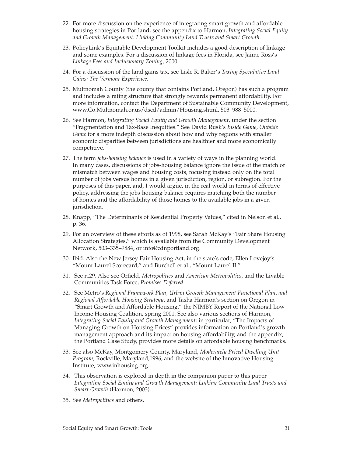- 22. For more discussion on the experience of integrating smart growth and affordable housing strategies in Portland, see the appendix to Harmon, *Integrating Social Equity and Growth Management: Linking Community Land Trusts and Smart Growth.*
- 23. PolicyLink's Equitable Development Toolkit includes a good description of linkage and some examples. For a discussion of linkage fees in Florida, see Jaime Ross's *Linkage Fees and Inclusionary Zoning,* 2000.
- 24. For a discussion of the land gains tax, see Lisle R. Baker's *Taxing Speculative Land Gains: The Vermont Experience*.
- 25. Multnomah County (the county that contains Portland, Oregon) has such a program and includes a rating structure that strongly rewards permanent affordability. For more information, contact the Department of Sustainable Community Development, www.Co.Multnomah.or.us/dscd/admin/Housing.shtml, 503–988–5000.
- 26. See Harmon, *Integrating Social Equity and Growth Management,* under the section "Fragmentation and Tax-Base Inequities." See David Rusk's *Inside Game, Outside Game* for a more indepth discussion about how and why regions with smaller economic disparities between jurisdictions are healthier and more economically competitive.
- 27. The term *jobs-housing balance* is used in a variety of ways in the planning world. In many cases, discussions of jobs-housing balance ignore the issue of the match or mismatch between wages and housing costs, focusing instead only on the total number of jobs versus homes in a given jurisdiction, region, or subregion. For the purposes of this paper, and, I would argue, in the real world in terms of effective policy, addressing the jobs-housing balance requires matching both the number of homes and the affordability of those homes to the available jobs in a given jurisdiction.
- 28. Knapp, "The Determinants of Residential Property Values," cited in Nelson et al., p. 36.
- 29. For an overview of these efforts as of 1998, see Sarah McKay's "Fair Share Housing Allocation Strategies," which is available from the Community Development Network, 503–335–9884, or info@cdnportland.org.
- 30. Ibid. Also the New Jersey Fair Housing Act, in the state's code, Ellen Lovejoy's "Mount Laurel Scorecard," and Burchell et al., "Mount Laurel II."
- 31. See n.29. Also see Orfield, *Metropolitics* and *American Metropolitics*, and the Livable Communities Task Force, *Promises Deferred*.
- 32. See Metro's *Regional Framework Plan, Urban Growth Management Functional Plan, and Regional Affordable Housing Strategy*, and Tasha Harmon's section on Oregon in "Smart Growth and Affordable Housing," the NIMBY Report of the National Low Income Housing Coalition, spring 2001. See also various sections of Harmon, *Integrating Social Equity and Growth Management;* in particular, "The Impacts of Managing Growth on Housing Prices" provides information on Portland's growth management approach and its impact on housing affordability, and the appendix, the Portland Case Study, provides more details on affordable housing benchmarks.
- 33. See also McKay, Montgomery County, Maryland, *Moderately Priced Dwelling Unit Program,* Rockville, Maryland,1996, and the website of the Innovative Housing Institute, www.inhousing.org.
- 34. This observation is explored in depth in the companion paper to this paper *Integrating Social Equity and Growth Management: Linking Community Land Trusts and Smart Growth* (Harmon, 2003)*.*
- 35. See *Metropolitics* and others.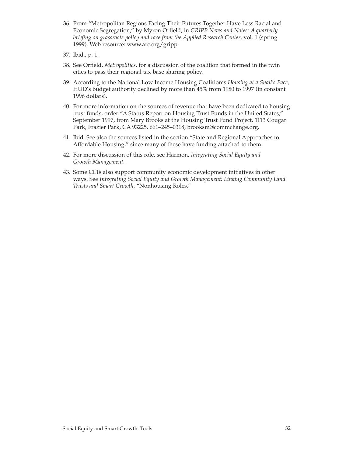- 36. From "Metropolitan Regions Facing Their Futures Together Have Less Racial and Economic Segregation," by Myron Orfield, in *GRIPP News and Notes: A quarterly briefing on grassroots policy and race from the Applied Research Center*, vol. 1 (spring 1999). Web resource: www.arc.org/gripp.
- 37. Ibid., p. 1.
- 38. See Orfield, *Metropolitics,* for a discussion of the coalition that formed in the twin cities to pass their regional tax-base sharing policy.
- 39. According to the National Low Income Housing Coalition's *Housing at a Snail's Pace*, HUD's budget authority declined by more than 45% from 1980 to 1997 (in constant 1996 dollars).
- 40. For more information on the sources of revenue that have been dedicated to housing trust funds, order "A Status Report on Housing Trust Funds in the United States," September 1997, from Mary Brooks at the Housing Trust Fund Project, 1113 Cougar Park, Frazier Park, CA 93225, 661–245–0318, brooksm@commchange.org.
- 41. Ibid. See also the sources listed in the section "State and Regional Approaches to Affordable Housing," since many of these have funding attached to them.
- 42. For more discussion of this role, see Harmon, *Integrating Social Equity and Growth Management.*
- 43. Some CLTs also support community economic development initiatives in other ways. See *Integrating Social Equity and Growth Management: Linking Community Land Trusts and Smart Growth*, "Nonhousing Roles."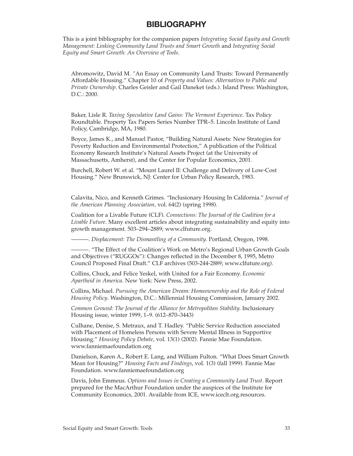## **BIBLIOGRAPHY**

This is a joint bibliography for the companion papers *Integrating Social Equity and Growth Management: Linking Community Land Trusts and Smart Growth* and *Integrating Social Equity and Smart Growth: An Overview of Tools*.

Abromowitz, David M. *"*An Essay on Community Land Trusts: Toward Permanently Affordable Housing." Chapter 10 of *Property and Values: Alternatives to Public and Private Ownership*. Charles Geisler and Gail Daneket (eds.). Island Press: Washington, D.C.: 2000.

Baker, Lisle R. *Taxing Speculative Land Gains: The Vermont Experience.* Tax Policy Roundtable. Property Tax Papers Series Number TPR–5. Lincoln Institute of Land Policy, Cambridge, MA, 1980.

Boyce, James K., and Manuel Pastor, "Building Natural Assets: New Strategies for Poverty Reduction and Environmental Protection," A publication of the Political Economy Research Institute's Natural Assets Project (at the University of Massachusetts, Amherst), and the Center for Popular Economics, 2001.

Burchell, Robert W. et al. "Mount Laurel II: Challenge and Delivery of Low-Cost Housing." New Brunswick, NJ: Center for Urban Policy Research, 1983.

Calavita, Nico, and Kenneth Grimes. "Inclusionary Housing In California." *Journal of the American Planning Association,* vol. 64(2) (spring 1998).

Coalition for a Livable Future (CLF). *Connections: The Journal of the Coalition for a Livable Future.* Many excellent articles about integrating sustainability and equity into growth management. 503–294–2889; www.clfuture.org.

———. *Displacement: The Dismantling of a Community.* Portland, Oregon, 1998.

———. "The Effect of the Coalition's Work on Metro's Regional Urban Growth Goals and Objectives ("RUGGOs"): Changes reflected in the December 8, 1995, Metro Council Proposed Final Draft." CLF archives (503-244-2889; www.clfuture.org).

Collins, Chuck, and Felice Yeskel, with United for a Fair Economy. *Economic Apartheid in America*. New York: New Press, 2002.

Collins, Michael. *Pursuing the American Dream: Homeownership and the Role of Federal Housing Policy*. Washington, D.C.: Millennial Housing Commission, January 2002.

*Common Ground: The Journal of the Alliance for Metropolitan Stability.* Inclusionary Housing issue, winter 1999, 1–9. (612–870–3443)

Culhane, Denise, S. Metraux, and T. Hadley. "Public Service Reduction associated with Placement of Homeless Persons with Severe Mental Illness in Supportive Housing." *Housing Policy Debate*, vol. 13(1) (2002). Fannie Mae Foundation. www.fanniemaefoundation.org

Danielson, Karen A., Robert E. Lang, and William Fulton. "What Does Smart Growth Mean for Housing?" *Housing Facts and Findings*, vol. 1(3) (fall 1999). Fannie Mae Foundation. www.fanniemaefoundation.org

Davis, John Emmeus. *Options and Issues in Creating a Community Land Trust*. Report prepared for the MacArthur Foundation under the auspices of the Institute for Community Economics, 2001. Available from ICE, www.iceclt.org.resources.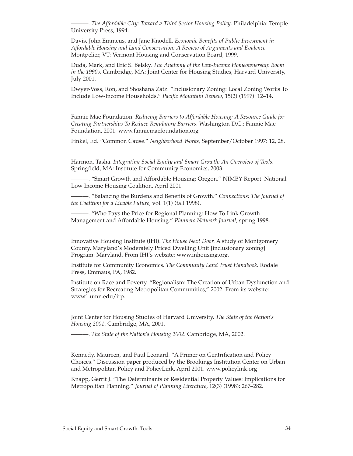———. *The Affordable City: Toward a Third Sector Housing Policy*. Philadelphia: Temple University Press, 1994.

Davis, John Emmeus, and Jane Knodell. *Economic Benefits of Public Investment in Affordable Housing and Land Conservation: A Review of Arguments and Evidence.* Montpelier, VT: Vermont Housing and Conservation Board, 1999.

Duda, Mark, and Eric S. Belsky. *The Anatomy of the Low-Income Homeownership Boom in the 1990s.* Cambridge, MA: Joint Center for Housing Studies, Harvard University, July 2001.

Dwyer-Voss, Ron, and Shoshana Zatz. "Inclusionary Zoning: Local Zoning Works To Include Low-Income Households." *Pacific Mountain Review*, 15(2) (1997): 12–14.

Fannie Mae Foundation. *Reducing Barriers to Affordable Housing: A Resource Guide for Creating Partnerships To Reduce Regulatory Barriers*. Washington D.C.: Fannie Mae Foundation, 2001. www.fanniemaefoundation.org

Finkel, Ed. "Common Cause." *Neighborhood Works,* September/October 1997: 12, 28.

Harmon, Tasha. *Integrating Social Equity and Smart Growth: An Overview of Tools*. Springfield, MA: Institute for Community Economics, 2003.

-. "Smart Growth and Affordable Housing: Oregon." NIMBY Report. National Low Income Housing Coalition, April 2001.

———. "Balancing the Burdens and Benefits of Growth." *Connections: The Journal of the Coalition for a Livable Future,* vol. 1(1) (fall 1998).

———. "Who Pays the Price for Regional Planning: How To Link Growth Management and Affordable Housing." *Planners Network Journal,* spring 1998.

Innovative Housing Institute (IHI). *The House Next Door.* A study of Montgomery County, Maryland's Moderately Priced Dwelling Unit [inclusionary zoning] Program: Maryland. From IHI's website: www.inhousing.org.

Institute for Community Economics. *The Community Land Trust Handbook*. Rodale Press, Emmaus, PA, 1982.

Institute on Race and Poverty. "Regionalism: The Creation of Urban Dysfunction and Strategies for Recreating Metropolitan Communities," 2002. From its website: www1.umn.edu/irp.

Joint Center for Housing Studies of Harvard University. *The State of the Nation's Housing 2001*. Cambridge, MA, 2001.

———. *The State of the Nation's Housing 2002.* Cambridge, MA, 2002.

Kennedy, Maureen, and Paul Leonard. "A Primer on Gentrification and Policy Choices." Discussion paper produced by the Brookings Institution Center on Urban and Metropolitan Policy and PolicyLink, April 2001. www.policylink.org

Knapp, Gerrit J. "The Determinants of Residential Property Values: Implications for Metropolitan Planning." *Journal of Planning Literature,* 12(3) (1998): 267–282.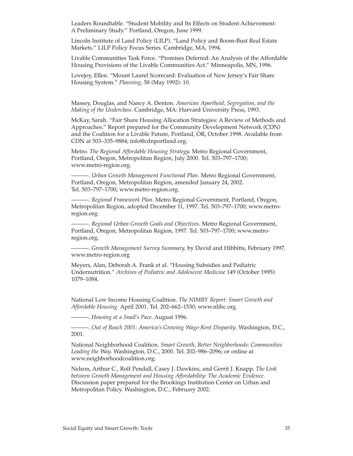Leaders Roundtable. "Student Mobility and Its Effects on Student Achievement: A Preliminary Study." Portland, Oregon, June 1999.

Lincoln Institute of Land Policy (LILP). "Land Policy and Boom-Bust Real Estate Markets." LILP Policy Focus Series. Cambridge, MA, 1994.

Livable Communities Task Force. "Promises Deferred: An Analysis of the Affordable Housing Provisions of the Livable Communities Act." Minneapolis, MN, 1996.

Lovejoy, Ellen. "Mount Laurel Scorecard: Evaluation of New Jersey's Fair Share Housing System." *Planning,* 58 (May 1992): 10.

Massey, Douglas, and Nancy A. Denton. *American Apartheid, Segregation, and the Making of the Underclass.* Cambridge, MA: Harvard University Press, 1993.

McKay, Sarah. "Fair Share Housing Allocation Strategies: A Review of Methods and Approaches." Report prepared for the Community Development Network (CDN) and the Coalition for a Livable Future, Portland, OR, October 1998. Available from CDN at 503–335–9884; info@cdnportland.org.

Metro. *The Regional Affordable Housing Strategy.* Metro Regional Government, Portland, Oregon, Metropolitan Region, July 2000. Tel. 503–797–1700; www.metro-region.org.

———. *Urban Growth Management Functional Plan.* Metro Regional Government, Portland, Oregon, Metropolitan Region, amended January 24, 2002. Tel. 503–797–1700; www.metro-region.org.

———. *Regional Framework Plan.* Metro Regional Government, Portland, Oregon, Metropolitan Region, adopted December 11, 1997. Tel. 503–797–1700; www.metroregion.org.

———. *Regional Urban Growth Goals and Objectives.* Metro Regional Government, Portland, Oregon, Metropolitan Region, 1997. Tel. 503–797–1700; www.metroregion.org.

———. *Growth Management Survey Summary,* by David and Hibbitts, February 1997. www.metro-region.org

Meyers, Alan, Deborah A. Frank et al. "Housing Subsidies and Pediatric Undernutrition." *Archives of Pediatric and Adolescent Medicine* 149 (October 1995): 1079–1084.

National Low Income Housing Coalition. *The NIMBY Report: Smart Growth and Affordable Housing.* April 2001. Tel. 202–662–1530; www.nlihc.org.

———. *Housing at a Snail's Pace.* August 1996.

———. *Out of Reach 2001: America's Growing Wage-Rent Disparity*. Washington, D.C., 2001.

National Neighborhood Coalition. *Smart Growth, Better Neighborhoods: Communities Leading the Way.* Washington, D.C., 2000. Tel. 202–986–2096; or online at www.neighborhoodcoalition.org.

Nelson, Arthur C., Rolf Pendall, Casey J. Dawkins, and Gerrit J. Knapp. *The Link between Growth Management and Housing Affordability: The Academic Evidence.* Discussion paper prepared for the Brookings Institution Center on Urban and Metropolitan Policy. Washington, D.C., February 2002.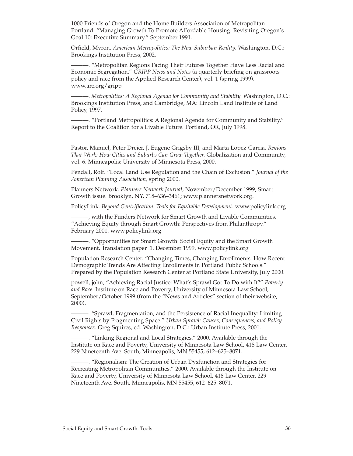1000 Friends of Oregon and the Home Builders Association of Metropolitan Portland. "Managing Growth To Promote Affordable Housing: Revisiting Oregon's Goal 10: Executive Summary." September 1991.

Orfield, Myron. *American Metropolitics: The New Suburban Reality.* Washington, D.C.: Brookings Institution Press, 2002.

———. "Metropolitan Regions Facing Their Futures Together Have Less Racial and Economic Segregation." *GRIPP News and Notes* (a quarterly briefing on grassroots policy and race from the Applied Research Center), vol. 1 (spring 1999). www.arc.org/gripp

———. *Metropolitics: A Regional Agenda for Community and Stability.* Washington, D.C.: Brookings Institution Press, and Cambridge, MA: Lincoln Land Institute of Land Policy, 1997.

———. "Portland Metropolitics: A Regional Agenda for Community and Stability." Report to the Coalition for a Livable Future. Portland, OR, July 1998.

Pastor, Manuel, Peter Dreier, J. Eugene Grigsby III, and Marta Lopez-Garcia. *Regions That Work: How Cities and Suburbs Can Grow Together.* Globalization and Community, vol. 6. Minneapolis: University of Minnesota Press, 2000.

Pendall, Rolf. "Local Land Use Regulation and the Chain of Exclusion." *Journal of the American Planning Association,* spring 2000.

Planners Network. *Planners Network Journal*, November/December 1999, Smart Growth issue. Brooklyn, NY. 718–636–3461; www.plannersnetwork.org.

PolicyLink. *Beyond Gentrification: Tools for Equitable Development.* www.policylink.org

———, with the Funders Network for Smart Growth and Livable Communities. "Achieving Equity through Smart Growth: Perspectives from Philanthropy." February 2001. www.policylink.org

———. "Opportunities for Smart Growth: Social Equity and the Smart Growth Movement. Translation paper 1. December 1999. www.policylink.org

Population Research Center. "Changing Times, Changing Enrollments: How Recent Demographic Trends Are Affecting Enrollments in Portland Public Schools." Prepared by the Population Research Center at Portland State University, July 2000.

powell, john, "Achieving Racial Justice: What's Sprawl Got To Do with It?" *Poverty and Race.* Institute on Race and Poverty, University of Minnesota Law School, September/October 1999 (from the "News and Articles" section of their website, 2000).

———. "Sprawl, Fragmentation, and the Persistence of Racial Inequality: Limiting Civil Rights by Fragmenting Space." *Urban Sprawl: Causes, Consequences, and Policy Responses.* Greg Squires, ed. Washington, D.C.: Urban Institute Press, 2001.

———. "Linking Regional and Local Strategies." 2000. Available through the Institute on Race and Poverty, University of Minnesota Law School, 418 Law Center, 229 Nineteenth Ave. South, Minneapolis, MN 55455, 612–625–8071.

———. "Regionalism: The Creation of Urban Dysfunction and Strategies for Recreating Metropolitan Communities." 2000. Available through the Institute on Race and Poverty, University of Minnesota Law School, 418 Law Center, 229 Nineteenth Ave. South, Minneapolis, MN 55455, 612–625–8071.